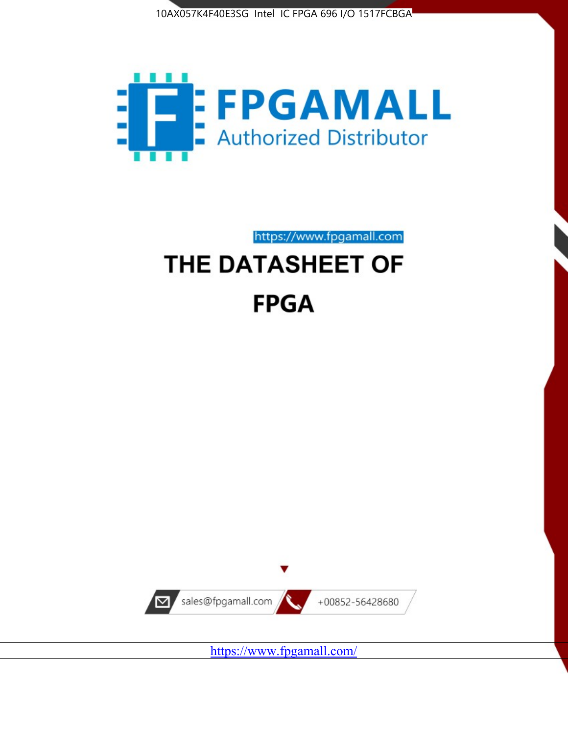



https://www.fpgamall.com

# THE DATASHEET OF **FPGA**



<https://www.fpgamall.com/>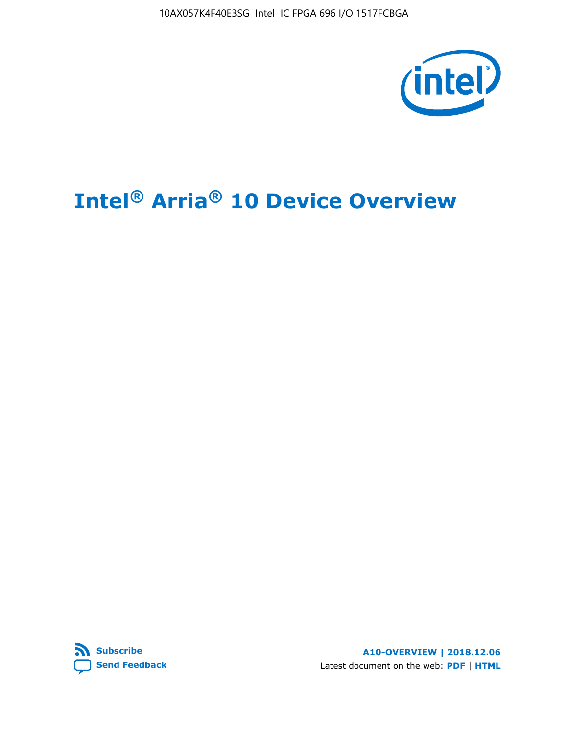10AX057K4F40E3SG Intel IC FPGA 696 I/O 1517FCBGA



# **Intel® Arria® 10 Device Overview**



**A10-OVERVIEW | 2018.12.06** Latest document on the web: **[PDF](https://www.intel.com/content/dam/www/programmable/us/en/pdfs/literature/hb/arria-10/a10_overview.pdf)** | **[HTML](https://www.intel.com/content/www/us/en/programmable/documentation/sam1403480274650.html)**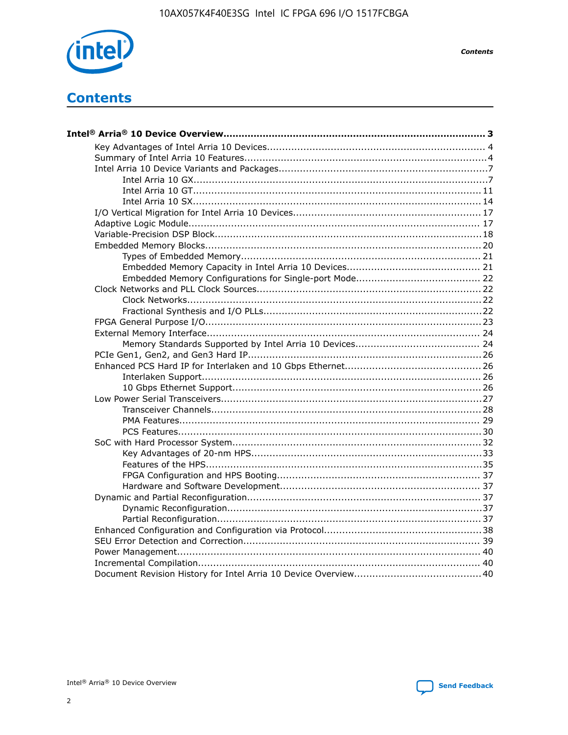

**Contents** 

# **Contents**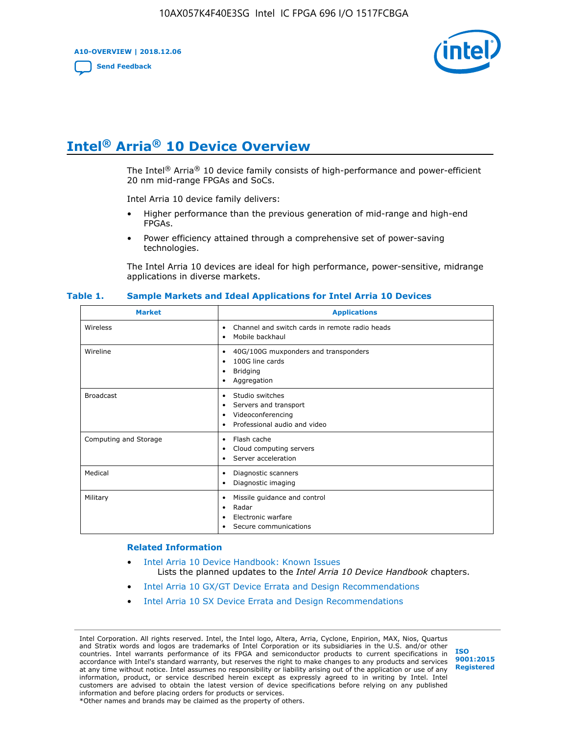**A10-OVERVIEW | 2018.12.06**

**[Send Feedback](mailto:FPGAtechdocfeedback@intel.com?subject=Feedback%20on%20Intel%20Arria%2010%20Device%20Overview%20(A10-OVERVIEW%202018.12.06)&body=We%20appreciate%20your%20feedback.%20In%20your%20comments,%20also%20specify%20the%20page%20number%20or%20paragraph.%20Thank%20you.)**



# **Intel® Arria® 10 Device Overview**

The Intel<sup>®</sup> Arria<sup>®</sup> 10 device family consists of high-performance and power-efficient 20 nm mid-range FPGAs and SoCs.

Intel Arria 10 device family delivers:

- Higher performance than the previous generation of mid-range and high-end FPGAs.
- Power efficiency attained through a comprehensive set of power-saving technologies.

The Intel Arria 10 devices are ideal for high performance, power-sensitive, midrange applications in diverse markets.

| <b>Market</b>         | <b>Applications</b>                                                                                               |
|-----------------------|-------------------------------------------------------------------------------------------------------------------|
| Wireless              | Channel and switch cards in remote radio heads<br>٠<br>Mobile backhaul<br>٠                                       |
| Wireline              | 40G/100G muxponders and transponders<br>٠<br>100G line cards<br>٠<br><b>Bridging</b><br>٠<br>Aggregation<br>٠     |
| <b>Broadcast</b>      | Studio switches<br>٠<br>Servers and transport<br>٠<br>Videoconferencing<br>٠<br>Professional audio and video<br>٠ |
| Computing and Storage | Flash cache<br>٠<br>Cloud computing servers<br>٠<br>Server acceleration<br>٠                                      |
| Medical               | Diagnostic scanners<br>٠<br>Diagnostic imaging<br>٠                                                               |
| Military              | Missile guidance and control<br>٠<br>Radar<br>٠<br>Electronic warfare<br>٠<br>Secure communications<br>٠          |

#### **Table 1. Sample Markets and Ideal Applications for Intel Arria 10 Devices**

#### **Related Information**

- [Intel Arria 10 Device Handbook: Known Issues](http://www.altera.com/support/kdb/solutions/rd07302013_646.html) Lists the planned updates to the *Intel Arria 10 Device Handbook* chapters.
- [Intel Arria 10 GX/GT Device Errata and Design Recommendations](https://www.intel.com/content/www/us/en/programmable/documentation/agz1493851706374.html#yqz1494433888646)
- [Intel Arria 10 SX Device Errata and Design Recommendations](https://www.intel.com/content/www/us/en/programmable/documentation/cru1462832385668.html#cru1462832558642)

Intel Corporation. All rights reserved. Intel, the Intel logo, Altera, Arria, Cyclone, Enpirion, MAX, Nios, Quartus and Stratix words and logos are trademarks of Intel Corporation or its subsidiaries in the U.S. and/or other countries. Intel warrants performance of its FPGA and semiconductor products to current specifications in accordance with Intel's standard warranty, but reserves the right to make changes to any products and services at any time without notice. Intel assumes no responsibility or liability arising out of the application or use of any information, product, or service described herein except as expressly agreed to in writing by Intel. Intel customers are advised to obtain the latest version of device specifications before relying on any published information and before placing orders for products or services. \*Other names and brands may be claimed as the property of others.

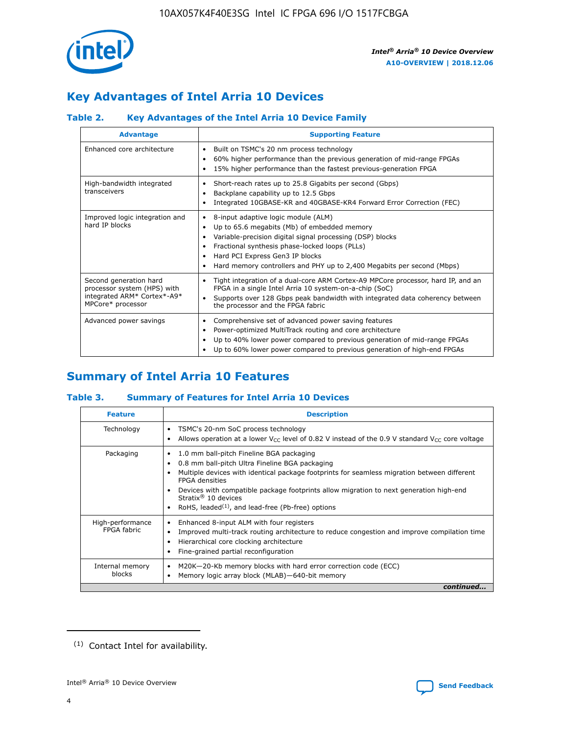

# **Key Advantages of Intel Arria 10 Devices**

## **Table 2. Key Advantages of the Intel Arria 10 Device Family**

| <b>Advantage</b>                                                                                          | <b>Supporting Feature</b>                                                                                                                                                                                                                                                                                                |
|-----------------------------------------------------------------------------------------------------------|--------------------------------------------------------------------------------------------------------------------------------------------------------------------------------------------------------------------------------------------------------------------------------------------------------------------------|
| Enhanced core architecture                                                                                | Built on TSMC's 20 nm process technology<br>٠<br>60% higher performance than the previous generation of mid-range FPGAs<br>٠<br>15% higher performance than the fastest previous-generation FPGA<br>٠                                                                                                                    |
| High-bandwidth integrated<br>transceivers                                                                 | Short-reach rates up to 25.8 Gigabits per second (Gbps)<br>٠<br>Backplane capability up to 12.5 Gbps<br>٠<br>Integrated 10GBASE-KR and 40GBASE-KR4 Forward Error Correction (FEC)<br>٠                                                                                                                                   |
| Improved logic integration and<br>hard IP blocks                                                          | 8-input adaptive logic module (ALM)<br>٠<br>Up to 65.6 megabits (Mb) of embedded memory<br>٠<br>Variable-precision digital signal processing (DSP) blocks<br>Fractional synthesis phase-locked loops (PLLs)<br>Hard PCI Express Gen3 IP blocks<br>Hard memory controllers and PHY up to 2,400 Megabits per second (Mbps) |
| Second generation hard<br>processor system (HPS) with<br>integrated ARM* Cortex*-A9*<br>MPCore* processor | Tight integration of a dual-core ARM Cortex-A9 MPCore processor, hard IP, and an<br>٠<br>FPGA in a single Intel Arria 10 system-on-a-chip (SoC)<br>Supports over 128 Gbps peak bandwidth with integrated data coherency between<br>$\bullet$<br>the processor and the FPGA fabric                                        |
| Advanced power savings                                                                                    | Comprehensive set of advanced power saving features<br>٠<br>Power-optimized MultiTrack routing and core architecture<br>٠<br>Up to 40% lower power compared to previous generation of mid-range FPGAs<br>Up to 60% lower power compared to previous generation of high-end FPGAs                                         |

# **Summary of Intel Arria 10 Features**

## **Table 3. Summary of Features for Intel Arria 10 Devices**

| <b>Feature</b>                  | <b>Description</b>                                                                                                                                                                                                                                                                                                                                                                                       |
|---------------------------------|----------------------------------------------------------------------------------------------------------------------------------------------------------------------------------------------------------------------------------------------------------------------------------------------------------------------------------------------------------------------------------------------------------|
| Technology                      | TSMC's 20-nm SoC process technology<br>٠<br>Allows operation at a lower $V_{\text{CC}}$ level of 0.82 V instead of the 0.9 V standard $V_{\text{CC}}$ core voltage                                                                                                                                                                                                                                       |
| Packaging                       | 1.0 mm ball-pitch Fineline BGA packaging<br>0.8 mm ball-pitch Ultra Fineline BGA packaging<br>Multiple devices with identical package footprints for seamless migration between different<br><b>FPGA</b> densities<br>Devices with compatible package footprints allow migration to next generation high-end<br>Stratix $\mathcal{R}$ 10 devices<br>RoHS, leaded $(1)$ , and lead-free (Pb-free) options |
| High-performance<br>FPGA fabric | Enhanced 8-input ALM with four registers<br>٠<br>Improved multi-track routing architecture to reduce congestion and improve compilation time<br>Hierarchical core clocking architecture<br>Fine-grained partial reconfiguration                                                                                                                                                                          |
| Internal memory<br>blocks       | M20K-20-Kb memory blocks with hard error correction code (ECC)<br>Memory logic array block (MLAB)-640-bit memory                                                                                                                                                                                                                                                                                         |
|                                 | continued                                                                                                                                                                                                                                                                                                                                                                                                |



<sup>(1)</sup> Contact Intel for availability.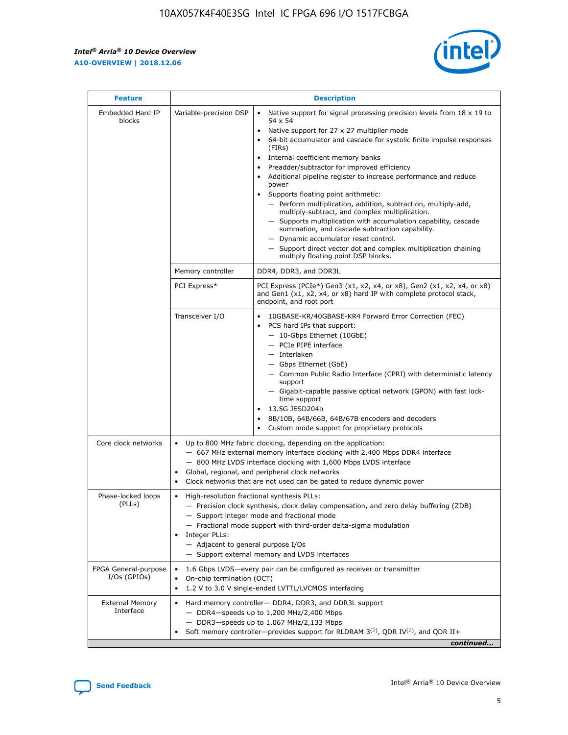$\mathsf{r}$ 



| <b>Feature</b>                         |                                                                                                                | <b>Description</b>                                                                                                                                                                                                                                                                                                                                                                                                                                                                                                                                                                                                                                                                                                                                                                                                                          |
|----------------------------------------|----------------------------------------------------------------------------------------------------------------|---------------------------------------------------------------------------------------------------------------------------------------------------------------------------------------------------------------------------------------------------------------------------------------------------------------------------------------------------------------------------------------------------------------------------------------------------------------------------------------------------------------------------------------------------------------------------------------------------------------------------------------------------------------------------------------------------------------------------------------------------------------------------------------------------------------------------------------------|
| Embedded Hard IP<br>blocks             | Variable-precision DSP                                                                                         | Native support for signal processing precision levels from $18 \times 19$ to<br>$\bullet$<br>54 x 54<br>Native support for 27 x 27 multiplier mode<br>64-bit accumulator and cascade for systolic finite impulse responses<br>(FIRs)<br>Internal coefficient memory banks<br>٠<br>Preadder/subtractor for improved efficiency<br>Additional pipeline register to increase performance and reduce<br>power<br>Supports floating point arithmetic:<br>- Perform multiplication, addition, subtraction, multiply-add,<br>multiply-subtract, and complex multiplication.<br>- Supports multiplication with accumulation capability, cascade<br>summation, and cascade subtraction capability.<br>- Dynamic accumulator reset control.<br>- Support direct vector dot and complex multiplication chaining<br>multiply floating point DSP blocks. |
|                                        | Memory controller                                                                                              | DDR4, DDR3, and DDR3L                                                                                                                                                                                                                                                                                                                                                                                                                                                                                                                                                                                                                                                                                                                                                                                                                       |
|                                        | PCI Express*                                                                                                   | PCI Express (PCIe*) Gen3 (x1, x2, x4, or x8), Gen2 (x1, x2, x4, or x8)<br>and Gen1 (x1, x2, x4, or x8) hard IP with complete protocol stack,<br>endpoint, and root port                                                                                                                                                                                                                                                                                                                                                                                                                                                                                                                                                                                                                                                                     |
|                                        | Transceiver I/O                                                                                                | 10GBASE-KR/40GBASE-KR4 Forward Error Correction (FEC)<br>PCS hard IPs that support:<br>- 10-Gbps Ethernet (10GbE)<br>- PCIe PIPE interface<br>- Interlaken<br>- Gbps Ethernet (GbE)<br>- Common Public Radio Interface (CPRI) with deterministic latency<br>support<br>- Gigabit-capable passive optical network (GPON) with fast lock-<br>time support<br>13.5G JESD204b<br>$\bullet$<br>8B/10B, 64B/66B, 64B/67B encoders and decoders<br>Custom mode support for proprietary protocols                                                                                                                                                                                                                                                                                                                                                   |
| Core clock networks                    | $\bullet$<br>$\bullet$                                                                                         | Up to 800 MHz fabric clocking, depending on the application:<br>- 667 MHz external memory interface clocking with 2,400 Mbps DDR4 interface<br>- 800 MHz LVDS interface clocking with 1,600 Mbps LVDS interface<br>Global, regional, and peripheral clock networks<br>Clock networks that are not used can be gated to reduce dynamic power                                                                                                                                                                                                                                                                                                                                                                                                                                                                                                 |
| Phase-locked loops<br>(PLLs)           | High-resolution fractional synthesis PLLs:<br>$\bullet$<br>Integer PLLs:<br>- Adjacent to general purpose I/Os | - Precision clock synthesis, clock delay compensation, and zero delay buffering (ZDB)<br>- Support integer mode and fractional mode<br>- Fractional mode support with third-order delta-sigma modulation<br>- Support external memory and LVDS interfaces                                                                                                                                                                                                                                                                                                                                                                                                                                                                                                                                                                                   |
| FPGA General-purpose<br>$I/Os$ (GPIOs) | On-chip termination (OCT)<br>$\bullet$                                                                         | 1.6 Gbps LVDS-every pair can be configured as receiver or transmitter<br>1.2 V to 3.0 V single-ended LVTTL/LVCMOS interfacing                                                                                                                                                                                                                                                                                                                                                                                                                                                                                                                                                                                                                                                                                                               |
| <b>External Memory</b><br>Interface    |                                                                                                                | Hard memory controller- DDR4, DDR3, and DDR3L support<br>$-$ DDR4 $-$ speeds up to 1,200 MHz/2,400 Mbps<br>- DDR3-speeds up to 1,067 MHz/2,133 Mbps<br>Soft memory controller—provides support for RLDRAM $3^{(2)}$ , QDR IV $(2^2)$ , and QDR II+<br>continued                                                                                                                                                                                                                                                                                                                                                                                                                                                                                                                                                                             |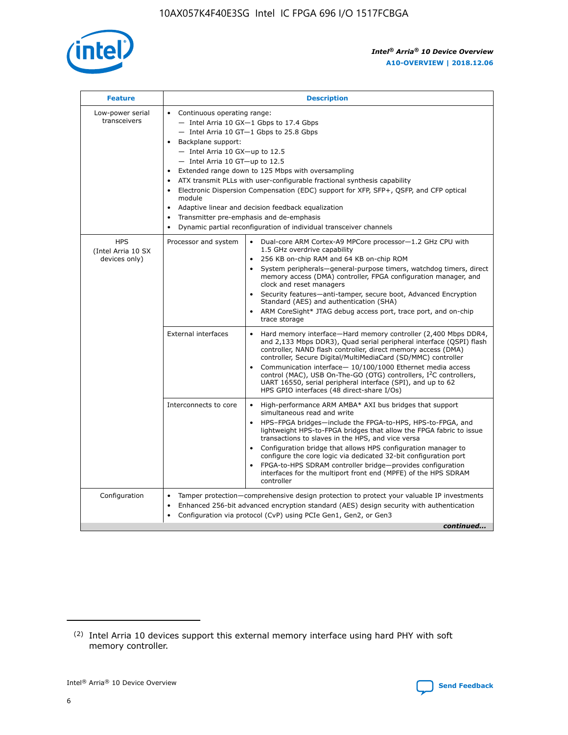

| <b>Feature</b>                                    | <b>Description</b>                                                                                                                                                                                                                                                                                                                                                                                                                                                                                                                                                                                                                             |
|---------------------------------------------------|------------------------------------------------------------------------------------------------------------------------------------------------------------------------------------------------------------------------------------------------------------------------------------------------------------------------------------------------------------------------------------------------------------------------------------------------------------------------------------------------------------------------------------------------------------------------------------------------------------------------------------------------|
| Low-power serial<br>transceivers                  | • Continuous operating range:<br>- Intel Arria 10 GX-1 Gbps to 17.4 Gbps<br>- Intel Arria 10 GT-1 Gbps to 25.8 Gbps<br>Backplane support:<br>$-$ Intel Arria 10 GX-up to 12.5<br>$-$ Intel Arria 10 GT-up to 12.5<br>Extended range down to 125 Mbps with oversampling<br>ATX transmit PLLs with user-configurable fractional synthesis capability<br>• Electronic Dispersion Compensation (EDC) support for XFP, SFP+, QSFP, and CFP optical<br>module<br>• Adaptive linear and decision feedback equalization<br>Transmitter pre-emphasis and de-emphasis<br>$\bullet$<br>Dynamic partial reconfiguration of individual transceiver channels |
| <b>HPS</b><br>(Intel Arria 10 SX<br>devices only) | Processor and system<br>Dual-core ARM Cortex-A9 MPCore processor-1.2 GHz CPU with<br>$\bullet$<br>1.5 GHz overdrive capability<br>256 KB on-chip RAM and 64 KB on-chip ROM<br>$\bullet$<br>System peripherals-general-purpose timers, watchdog timers, direct<br>memory access (DMA) controller, FPGA configuration manager, and<br>clock and reset managers<br>• Security features—anti-tamper, secure boot, Advanced Encryption<br>Standard (AES) and authentication (SHA)<br>ARM CoreSight* JTAG debug access port, trace port, and on-chip<br>trace storage                                                                                |
|                                                   | <b>External interfaces</b><br>Hard memory interface—Hard memory controller (2,400 Mbps DDR4,<br>$\bullet$<br>and 2,133 Mbps DDR3), Quad serial peripheral interface (QSPI) flash<br>controller, NAND flash controller, direct memory access (DMA)<br>controller, Secure Digital/MultiMediaCard (SD/MMC) controller<br>Communication interface-10/100/1000 Ethernet media access<br>control (MAC), USB On-The-GO (OTG) controllers, I <sup>2</sup> C controllers,<br>UART 16550, serial peripheral interface (SPI), and up to 62<br>HPS GPIO interfaces (48 direct-share I/Os)                                                                  |
|                                                   | High-performance ARM AMBA* AXI bus bridges that support<br>Interconnects to core<br>$\bullet$<br>simultaneous read and write<br>HPS-FPGA bridges—include the FPGA-to-HPS, HPS-to-FPGA, and<br>$\bullet$<br>lightweight HPS-to-FPGA bridges that allow the FPGA fabric to issue<br>transactions to slaves in the HPS, and vice versa<br>Configuration bridge that allows HPS configuration manager to<br>configure the core logic via dedicated 32-bit configuration port<br>FPGA-to-HPS SDRAM controller bridge-provides configuration<br>interfaces for the multiport front end (MPFE) of the HPS SDRAM<br>controller                         |
| Configuration                                     | Tamper protection—comprehensive design protection to protect your valuable IP investments<br>Enhanced 256-bit advanced encryption standard (AES) design security with authentication<br>$\bullet$<br>Configuration via protocol (CvP) using PCIe Gen1, Gen2, or Gen3<br>continued                                                                                                                                                                                                                                                                                                                                                              |

<sup>(2)</sup> Intel Arria 10 devices support this external memory interface using hard PHY with soft memory controller.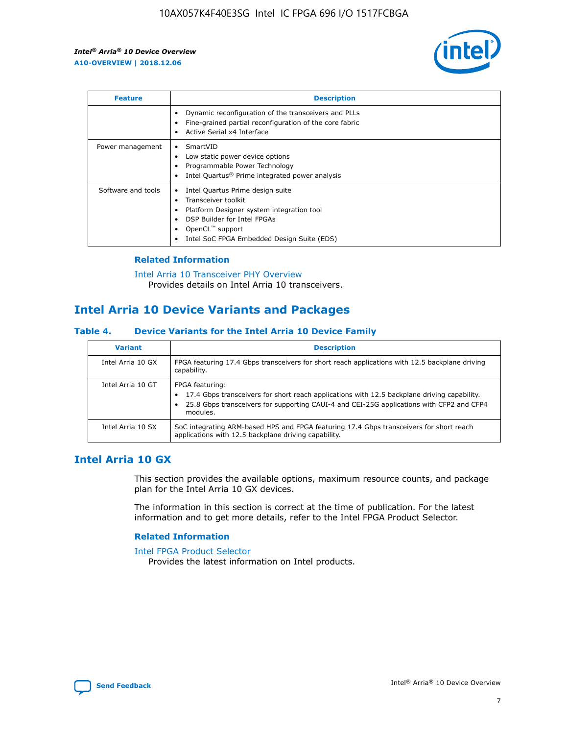

| <b>Feature</b>     | <b>Description</b>                                                                                                                                                                                               |
|--------------------|------------------------------------------------------------------------------------------------------------------------------------------------------------------------------------------------------------------|
|                    | Dynamic reconfiguration of the transceivers and PLLs<br>Fine-grained partial reconfiguration of the core fabric<br>Active Serial x4 Interface<br>$\bullet$                                                       |
| Power management   | SmartVID<br>Low static power device options<br>Programmable Power Technology<br>Intel Quartus <sup>®</sup> Prime integrated power analysis                                                                       |
| Software and tools | Intel Quartus Prime design suite<br>Transceiver toolkit<br>Platform Designer system integration tool<br>DSP Builder for Intel FPGAs<br>OpenCL <sup>™</sup> support<br>Intel SoC FPGA Embedded Design Suite (EDS) |

## **Related Information**

[Intel Arria 10 Transceiver PHY Overview](https://www.intel.com/content/www/us/en/programmable/documentation/nik1398707230472.html#nik1398706768037) Provides details on Intel Arria 10 transceivers.

# **Intel Arria 10 Device Variants and Packages**

#### **Table 4. Device Variants for the Intel Arria 10 Device Family**

| <b>Variant</b>    | <b>Description</b>                                                                                                                                                                                                     |
|-------------------|------------------------------------------------------------------------------------------------------------------------------------------------------------------------------------------------------------------------|
| Intel Arria 10 GX | FPGA featuring 17.4 Gbps transceivers for short reach applications with 12.5 backplane driving<br>capability.                                                                                                          |
| Intel Arria 10 GT | FPGA featuring:<br>17.4 Gbps transceivers for short reach applications with 12.5 backplane driving capability.<br>25.8 Gbps transceivers for supporting CAUI-4 and CEI-25G applications with CFP2 and CFP4<br>modules. |
| Intel Arria 10 SX | SoC integrating ARM-based HPS and FPGA featuring 17.4 Gbps transceivers for short reach<br>applications with 12.5 backplane driving capability.                                                                        |

## **Intel Arria 10 GX**

This section provides the available options, maximum resource counts, and package plan for the Intel Arria 10 GX devices.

The information in this section is correct at the time of publication. For the latest information and to get more details, refer to the Intel FPGA Product Selector.

## **Related Information**

#### [Intel FPGA Product Selector](http://www.altera.com/products/selector/psg-selector.html) Provides the latest information on Intel products.

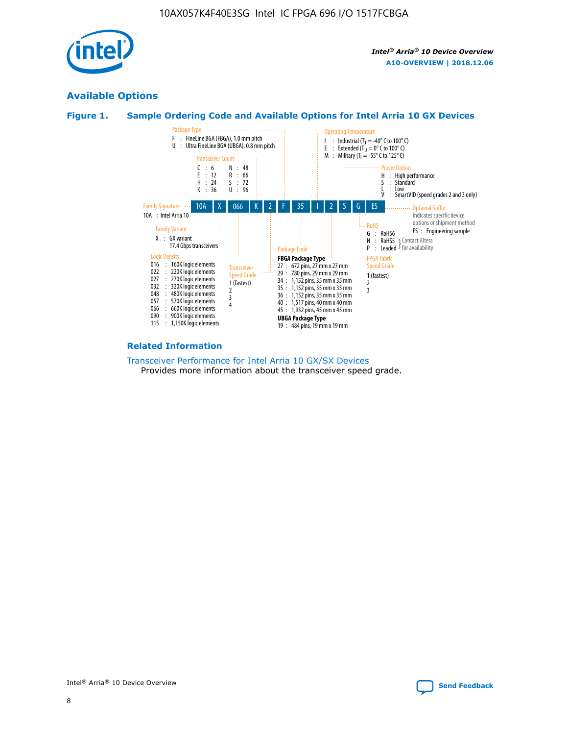

## **Available Options**





#### **Related Information**

[Transceiver Performance for Intel Arria 10 GX/SX Devices](https://www.intel.com/content/www/us/en/programmable/documentation/mcn1413182292568.html#mcn1413213965502) Provides more information about the transceiver speed grade.

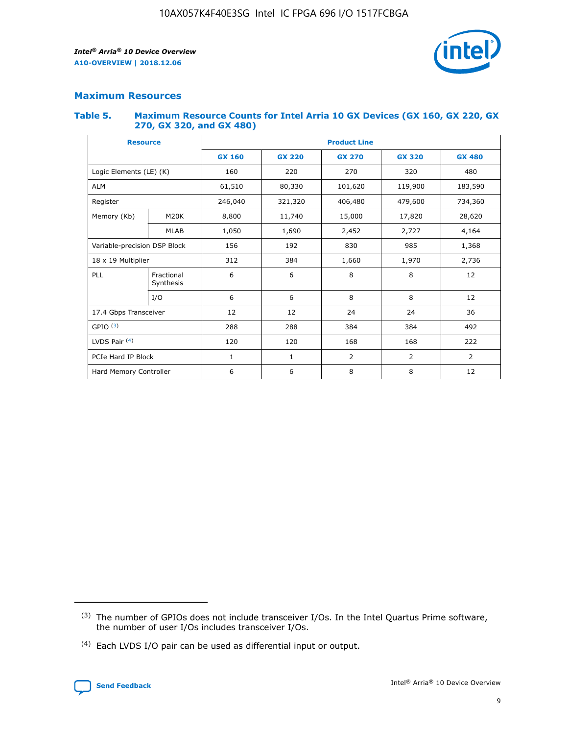

## **Maximum Resources**

#### **Table 5. Maximum Resource Counts for Intel Arria 10 GX Devices (GX 160, GX 220, GX 270, GX 320, and GX 480)**

| <b>Resource</b>              |                         | <b>Product Line</b> |                    |                |                |                |  |  |  |
|------------------------------|-------------------------|---------------------|--------------------|----------------|----------------|----------------|--|--|--|
|                              |                         | <b>GX 160</b>       | <b>GX 220</b>      | <b>GX 270</b>  | <b>GX 320</b>  | <b>GX 480</b>  |  |  |  |
| Logic Elements (LE) (K)      |                         | 160                 | 220                | 270            | 320            | 480            |  |  |  |
| <b>ALM</b>                   |                         | 61,510              | 80,330             | 101,620        | 119,900        | 183,590        |  |  |  |
| Register                     |                         | 246,040             | 406,480<br>321,320 |                | 479,600        | 734,360        |  |  |  |
| Memory (Kb)                  | M <sub>20</sub> K       | 8,800               | 11,740             | 15,000         | 17,820         | 28,620         |  |  |  |
| <b>MLAB</b>                  |                         | 1,050               | 1,690              | 2,452          | 2,727          | 4,164          |  |  |  |
| Variable-precision DSP Block |                         | 156                 | 192                | 830            | 985            | 1,368          |  |  |  |
| 18 x 19 Multiplier           |                         | 312                 | 384                | 1,970<br>1,660 |                | 2,736          |  |  |  |
| PLL                          | Fractional<br>Synthesis | 6                   | 6                  | 8              | 8              | 12             |  |  |  |
|                              | I/O                     | 6                   | 6                  | 8              | 8              | 12             |  |  |  |
| 17.4 Gbps Transceiver        |                         | 12                  | 12                 | 24             | 24             | 36             |  |  |  |
| GPIO <sup>(3)</sup>          |                         | 288                 | 288                | 384<br>384     |                | 492            |  |  |  |
| LVDS Pair $(4)$              |                         | 120                 | 120                | 168            | 168            | 222            |  |  |  |
| PCIe Hard IP Block           |                         | 1                   | 1                  | 2              | $\overline{2}$ | $\overline{2}$ |  |  |  |
| Hard Memory Controller       |                         | 6                   | 6                  | 8              | 8              | 12             |  |  |  |

<sup>(4)</sup> Each LVDS I/O pair can be used as differential input or output.



<sup>(3)</sup> The number of GPIOs does not include transceiver I/Os. In the Intel Quartus Prime software, the number of user I/Os includes transceiver I/Os.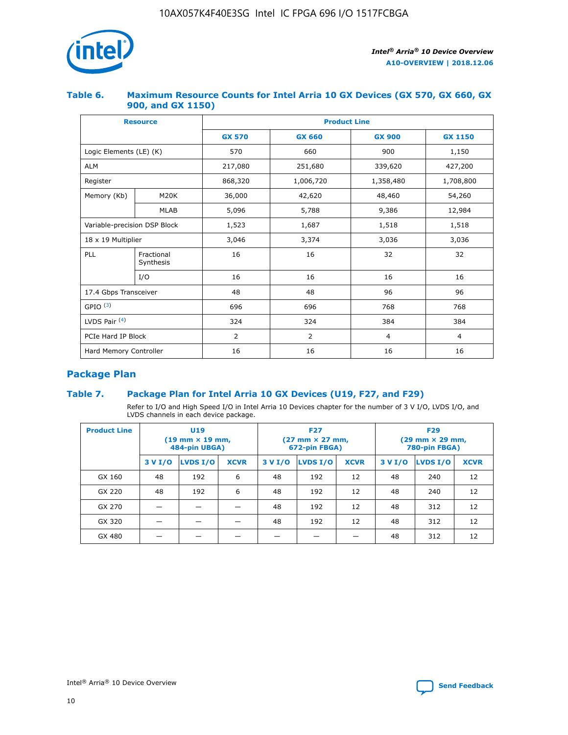

## **Table 6. Maximum Resource Counts for Intel Arria 10 GX Devices (GX 570, GX 660, GX 900, and GX 1150)**

|                              | <b>Resource</b>         | <b>Product Line</b> |                |                |                |  |  |  |
|------------------------------|-------------------------|---------------------|----------------|----------------|----------------|--|--|--|
|                              |                         | <b>GX 570</b>       | <b>GX 660</b>  | <b>GX 900</b>  | <b>GX 1150</b> |  |  |  |
| Logic Elements (LE) (K)      |                         | 570                 | 660            | 900            | 1,150          |  |  |  |
| <b>ALM</b>                   |                         | 217,080             | 251,680        | 339,620        | 427,200        |  |  |  |
| Register                     |                         | 868,320             | 1,006,720      | 1,358,480      | 1,708,800      |  |  |  |
| Memory (Kb)                  | <b>M20K</b>             | 36,000              | 42,620         | 48,460         | 54,260         |  |  |  |
| <b>MLAB</b>                  |                         | 5,096               | 5,788          | 9,386          | 12,984         |  |  |  |
| Variable-precision DSP Block |                         | 1,523               | 1,687          | 1,518          | 1,518          |  |  |  |
| $18 \times 19$ Multiplier    |                         | 3,046               | 3,374          | 3,036          | 3,036          |  |  |  |
| PLL                          | Fractional<br>Synthesis | 16                  | 16             | 32             | 32             |  |  |  |
|                              | I/O                     | 16                  | 16             | 16             | 16             |  |  |  |
| 17.4 Gbps Transceiver        |                         | 48                  | 48             |                | 96             |  |  |  |
| GPIO <sup>(3)</sup>          |                         | 696                 | 696            | 768            | 768            |  |  |  |
| LVDS Pair $(4)$              |                         | 324                 | 324            | 384            | 384            |  |  |  |
| PCIe Hard IP Block           |                         | 2                   | $\overline{2}$ | $\overline{4}$ | 4              |  |  |  |
| Hard Memory Controller       |                         | 16                  | 16             | 16             | 16             |  |  |  |

## **Package Plan**

## **Table 7. Package Plan for Intel Arria 10 GX Devices (U19, F27, and F29)**

Refer to I/O and High Speed I/O in Intel Arria 10 Devices chapter for the number of 3 V I/O, LVDS I/O, and LVDS channels in each device package.

| <b>Product Line</b> |         | U <sub>19</sub><br>$(19 \text{ mm} \times 19 \text{ mm})$<br>484-pin UBGA) |             | <b>F27</b><br>(27 mm × 27 mm,<br>672-pin FBGA) |          |             | <b>F29</b><br>(29 mm × 29 mm,<br>780-pin FBGA) |          |             |  |
|---------------------|---------|----------------------------------------------------------------------------|-------------|------------------------------------------------|----------|-------------|------------------------------------------------|----------|-------------|--|
|                     | 3 V I/O | LVDS I/O                                                                   | <b>XCVR</b> | 3 V I/O                                        | LVDS I/O | <b>XCVR</b> | 3 V I/O                                        | LVDS I/O | <b>XCVR</b> |  |
| GX 160              | 48      | 192                                                                        | 6           | 48                                             | 192      | 12          | 48                                             | 240      | 12          |  |
| GX 220              | 48      | 192                                                                        | 6           | 48                                             | 192      | 12          | 48                                             | 240      | 12          |  |
| GX 270              |         |                                                                            |             | 48                                             | 192      | 12          | 48                                             | 312      | 12          |  |
| GX 320              |         |                                                                            |             | 48                                             | 192      | 12          | 48                                             | 312      | 12          |  |
| GX 480              |         |                                                                            |             |                                                |          |             | 48                                             | 312      | 12          |  |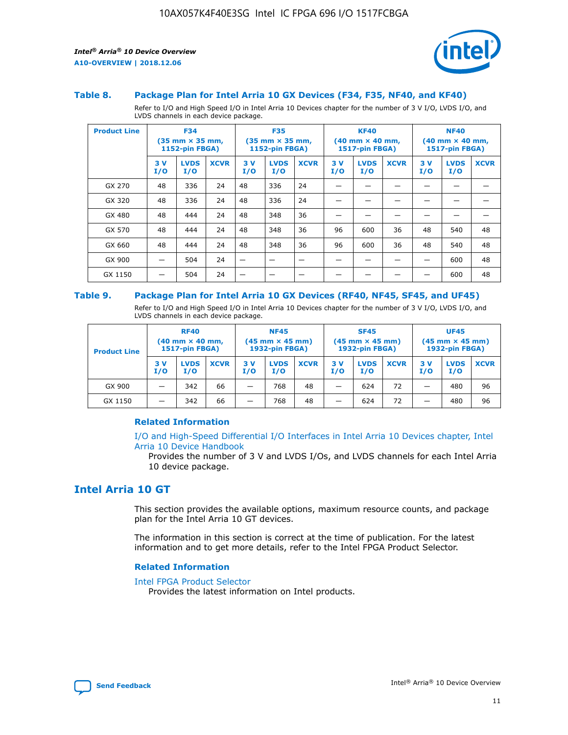

#### **Table 8. Package Plan for Intel Arria 10 GX Devices (F34, F35, NF40, and KF40)**

Refer to I/O and High Speed I/O in Intel Arria 10 Devices chapter for the number of 3 V I/O, LVDS I/O, and LVDS channels in each device package.

| <b>Product Line</b> |           | <b>F34</b><br>(35 mm × 35 mm,<br><b>1152-pin FBGA)</b> |             |           | <b>F35</b><br>$(35$ mm $\times$ 35 mm,<br><b>1152-pin FBGA)</b> |             | <b>KF40</b><br>$(40 \text{ mm} \times 40 \text{ mm})$<br>1517-pin FBGA) |                    |             | <b>NF40</b><br>$(40 \text{ mm} \times 40 \text{ mm})$<br><b>1517-pin FBGA)</b> |                    |             |
|---------------------|-----------|--------------------------------------------------------|-------------|-----------|-----------------------------------------------------------------|-------------|-------------------------------------------------------------------------|--------------------|-------------|--------------------------------------------------------------------------------|--------------------|-------------|
|                     | 3V<br>I/O | <b>LVDS</b><br>I/O                                     | <b>XCVR</b> | 3V<br>I/O | <b>LVDS</b><br>I/O                                              | <b>XCVR</b> | 3V<br>I/O                                                               | <b>LVDS</b><br>I/O | <b>XCVR</b> | 3V<br>I/O                                                                      | <b>LVDS</b><br>I/O | <b>XCVR</b> |
| GX 270              | 48        | 336                                                    | 24          | 48        | 336                                                             | 24          |                                                                         |                    |             |                                                                                |                    |             |
| GX 320              | 48        | 336                                                    | 24          | 48        | 336                                                             | 24          |                                                                         |                    |             |                                                                                |                    |             |
| GX 480              | 48        | 444                                                    | 24          | 48        | 348                                                             | 36          |                                                                         |                    |             |                                                                                |                    |             |
| GX 570              | 48        | 444                                                    | 24          | 48        | 348                                                             | 36          | 96                                                                      | 600                | 36          | 48                                                                             | 540                | 48          |
| GX 660              | 48        | 444                                                    | 24          | 48        | 348                                                             | 36          | 96                                                                      | 600                | 36          | 48                                                                             | 540                | 48          |
| GX 900              |           | 504                                                    | 24          | -         |                                                                 | -           |                                                                         |                    |             |                                                                                | 600                | 48          |
| GX 1150             |           | 504                                                    | 24          |           |                                                                 |             |                                                                         |                    |             |                                                                                | 600                | 48          |

#### **Table 9. Package Plan for Intel Arria 10 GX Devices (RF40, NF45, SF45, and UF45)**

Refer to I/O and High Speed I/O in Intel Arria 10 Devices chapter for the number of 3 V I/O, LVDS I/O, and LVDS channels in each device package.

| <b>Product Line</b> | <b>RF40</b><br>$(40$ mm $\times$ 40 mm,<br>1517-pin FBGA) |                    |             | <b>NF45</b><br>$(45 \text{ mm} \times 45 \text{ mm})$<br><b>1932-pin FBGA)</b> |                    |             | <b>SF45</b><br>$(45 \text{ mm} \times 45 \text{ mm})$<br><b>1932-pin FBGA)</b> |                    |             | <b>UF45</b><br>$(45 \text{ mm} \times 45 \text{ mm})$<br><b>1932-pin FBGA)</b> |                    |             |
|---------------------|-----------------------------------------------------------|--------------------|-------------|--------------------------------------------------------------------------------|--------------------|-------------|--------------------------------------------------------------------------------|--------------------|-------------|--------------------------------------------------------------------------------|--------------------|-------------|
|                     | 3V<br>I/O                                                 | <b>LVDS</b><br>I/O | <b>XCVR</b> | 3 V<br>I/O                                                                     | <b>LVDS</b><br>I/O | <b>XCVR</b> | 3 V<br>I/O                                                                     | <b>LVDS</b><br>I/O | <b>XCVR</b> | 3V<br>I/O                                                                      | <b>LVDS</b><br>I/O | <b>XCVR</b> |
| GX 900              |                                                           | 342                | 66          | _                                                                              | 768                | 48          |                                                                                | 624                | 72          |                                                                                | 480                | 96          |
| GX 1150             |                                                           | 342                | 66          | _                                                                              | 768                | 48          |                                                                                | 624                | 72          |                                                                                | 480                | 96          |

## **Related Information**

[I/O and High-Speed Differential I/O Interfaces in Intel Arria 10 Devices chapter, Intel](https://www.intel.com/content/www/us/en/programmable/documentation/sam1403482614086.html#sam1403482030321) [Arria 10 Device Handbook](https://www.intel.com/content/www/us/en/programmable/documentation/sam1403482614086.html#sam1403482030321)

Provides the number of 3 V and LVDS I/Os, and LVDS channels for each Intel Arria 10 device package.

## **Intel Arria 10 GT**

This section provides the available options, maximum resource counts, and package plan for the Intel Arria 10 GT devices.

The information in this section is correct at the time of publication. For the latest information and to get more details, refer to the Intel FPGA Product Selector.

### **Related Information**

#### [Intel FPGA Product Selector](http://www.altera.com/products/selector/psg-selector.html)

Provides the latest information on Intel products.

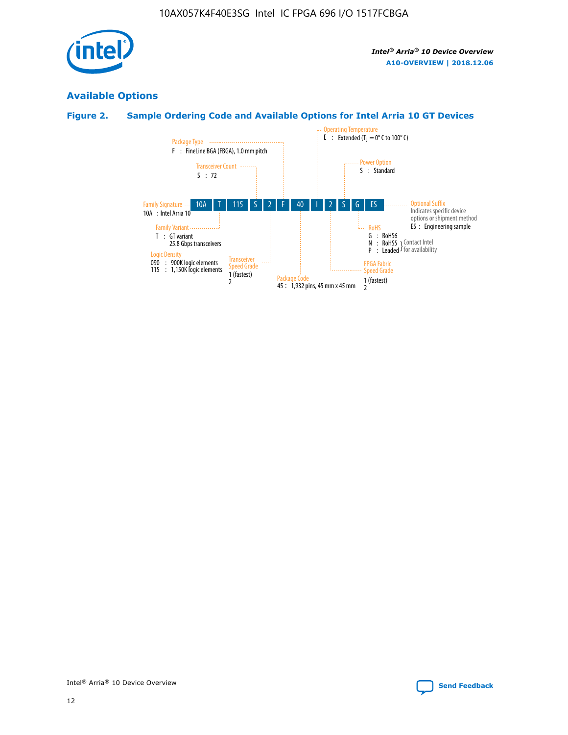

## **Available Options**

## **Figure 2. Sample Ordering Code and Available Options for Intel Arria 10 GT Devices**

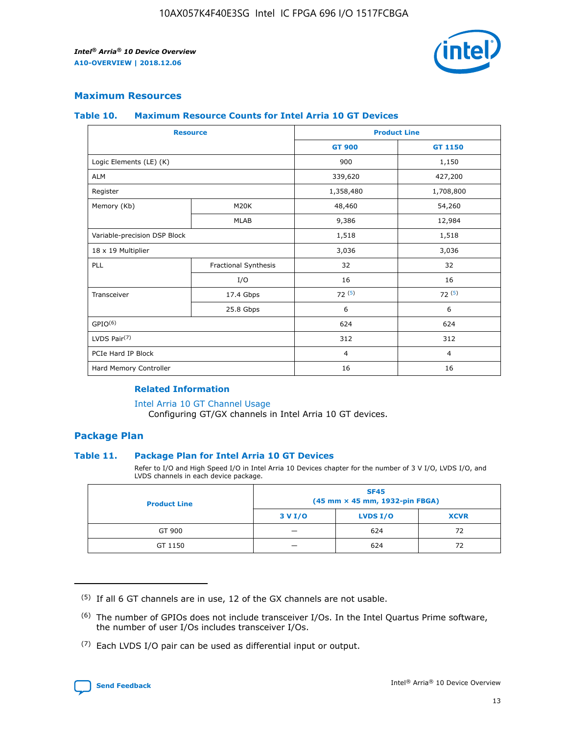

## **Maximum Resources**

#### **Table 10. Maximum Resource Counts for Intel Arria 10 GT Devices**

| <b>Resource</b>              |                      |                | <b>Product Line</b> |  |
|------------------------------|----------------------|----------------|---------------------|--|
|                              |                      | <b>GT 900</b>  | <b>GT 1150</b>      |  |
| Logic Elements (LE) (K)      |                      | 900            | 1,150               |  |
| <b>ALM</b>                   |                      | 339,620        | 427,200             |  |
| Register                     |                      | 1,358,480      | 1,708,800           |  |
| Memory (Kb)                  | M <sub>20</sub> K    | 48,460         | 54,260              |  |
|                              | <b>MLAB</b>          | 9,386          | 12,984              |  |
| Variable-precision DSP Block |                      | 1,518          | 1,518               |  |
| 18 x 19 Multiplier           |                      | 3,036          | 3,036               |  |
| PLL                          | Fractional Synthesis | 32             | 32                  |  |
|                              | I/O                  | 16             | 16                  |  |
| Transceiver                  | 17.4 Gbps            | 72(5)          | 72(5)               |  |
|                              | 25.8 Gbps            | 6              | 6                   |  |
| GPIO <sup>(6)</sup>          |                      | 624            | 624                 |  |
| LVDS Pair $(7)$              |                      | 312            | 312                 |  |
| PCIe Hard IP Block           |                      | $\overline{4}$ | $\overline{4}$      |  |
| Hard Memory Controller       |                      | 16             | 16                  |  |

## **Related Information**

#### [Intel Arria 10 GT Channel Usage](https://www.intel.com/content/www/us/en/programmable/documentation/nik1398707230472.html#nik1398707008178)

Configuring GT/GX channels in Intel Arria 10 GT devices.

## **Package Plan**

### **Table 11. Package Plan for Intel Arria 10 GT Devices**

Refer to I/O and High Speed I/O in Intel Arria 10 Devices chapter for the number of 3 V I/O, LVDS I/O, and LVDS channels in each device package.

| <b>Product Line</b> | <b>SF45</b><br>(45 mm × 45 mm, 1932-pin FBGA) |                 |             |  |  |  |
|---------------------|-----------------------------------------------|-----------------|-------------|--|--|--|
|                     | 3 V I/O                                       | <b>LVDS I/O</b> | <b>XCVR</b> |  |  |  |
| GT 900              |                                               | 624             | 72          |  |  |  |
| GT 1150             |                                               | 624             |             |  |  |  |

<sup>(7)</sup> Each LVDS I/O pair can be used as differential input or output.



 $(5)$  If all 6 GT channels are in use, 12 of the GX channels are not usable.

<sup>(6)</sup> The number of GPIOs does not include transceiver I/Os. In the Intel Quartus Prime software, the number of user I/Os includes transceiver I/Os.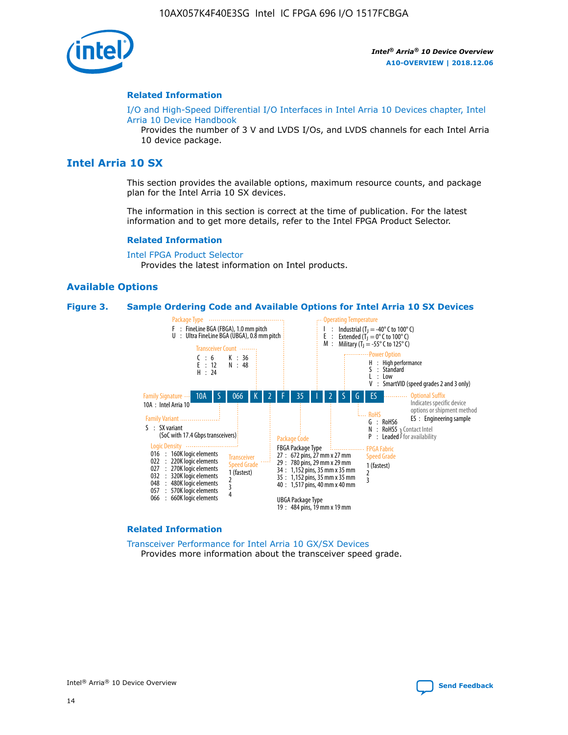

#### **Related Information**

[I/O and High-Speed Differential I/O Interfaces in Intel Arria 10 Devices chapter, Intel](https://www.intel.com/content/www/us/en/programmable/documentation/sam1403482614086.html#sam1403482030321) [Arria 10 Device Handbook](https://www.intel.com/content/www/us/en/programmable/documentation/sam1403482614086.html#sam1403482030321)

Provides the number of 3 V and LVDS I/Os, and LVDS channels for each Intel Arria 10 device package.

## **Intel Arria 10 SX**

This section provides the available options, maximum resource counts, and package plan for the Intel Arria 10 SX devices.

The information in this section is correct at the time of publication. For the latest information and to get more details, refer to the Intel FPGA Product Selector.

#### **Related Information**

[Intel FPGA Product Selector](http://www.altera.com/products/selector/psg-selector.html) Provides the latest information on Intel products.

### **Available Options**

#### **Figure 3. Sample Ordering Code and Available Options for Intel Arria 10 SX Devices**



#### **Related Information**

[Transceiver Performance for Intel Arria 10 GX/SX Devices](https://www.intel.com/content/www/us/en/programmable/documentation/mcn1413182292568.html#mcn1413213965502) Provides more information about the transceiver speed grade.

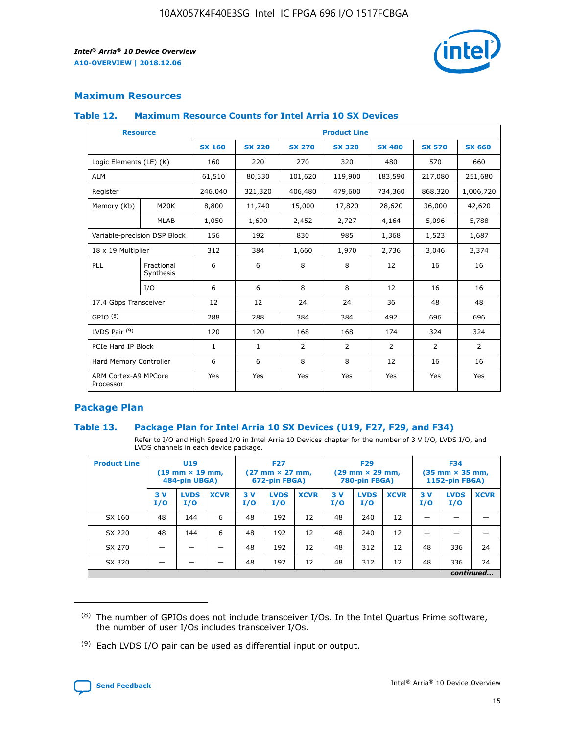

## **Maximum Resources**

#### **Table 12. Maximum Resource Counts for Intel Arria 10 SX Devices**

| <b>Resource</b>                   |                         | <b>Product Line</b> |               |                |                |                |                |                |  |  |  |
|-----------------------------------|-------------------------|---------------------|---------------|----------------|----------------|----------------|----------------|----------------|--|--|--|
|                                   |                         | <b>SX 160</b>       | <b>SX 220</b> | <b>SX 270</b>  | <b>SX 320</b>  | <b>SX 480</b>  | <b>SX 570</b>  | <b>SX 660</b>  |  |  |  |
| Logic Elements (LE) (K)           |                         | 160                 | 220           | 270            | 320            | 480            | 570            | 660            |  |  |  |
| <b>ALM</b>                        |                         | 61,510              | 80,330        | 101,620        | 119,900        | 183,590        | 217,080        | 251,680        |  |  |  |
| Register                          |                         | 246,040             | 321,320       | 406,480        | 479,600        | 734,360        | 868,320        | 1,006,720      |  |  |  |
| Memory (Kb)                       | <b>M20K</b>             | 8,800               | 11,740        | 15,000         | 17,820         | 28,620         | 36,000         | 42,620         |  |  |  |
|                                   | <b>MLAB</b>             | 1,050               | 1,690         | 2,452          | 2,727          | 4,164          | 5,096          | 5,788          |  |  |  |
| Variable-precision DSP Block      |                         | 156                 | 192           | 830            | 985            | 1,368          | 1,523          | 1,687          |  |  |  |
| 18 x 19 Multiplier                |                         | 312                 | 384           | 1,660          | 1,970          | 2,736          | 3,046          | 3,374          |  |  |  |
| PLL                               | Fractional<br>Synthesis | 6                   | 6             | 8              | 8              | 12             | 16             | 16             |  |  |  |
|                                   | I/O                     | 6                   | 6             | 8              | 8              | 12             | 16             | 16             |  |  |  |
| 17.4 Gbps Transceiver             |                         | 12                  | 12            | 24             | 24             | 36             | 48             | 48             |  |  |  |
| GPIO <sup>(8)</sup>               |                         | 288                 | 288           | 384            | 384            | 492            | 696            | 696            |  |  |  |
| LVDS Pair $(9)$                   |                         | 120                 | 120           | 168            | 168            | 174            | 324            | 324            |  |  |  |
| PCIe Hard IP Block                |                         | $\mathbf{1}$        | $\mathbf{1}$  | $\overline{2}$ | $\overline{2}$ | $\overline{2}$ | $\overline{2}$ | $\overline{2}$ |  |  |  |
| Hard Memory Controller            |                         | 6                   | 6             | 8              | 8              | 12             | 16             | 16             |  |  |  |
| ARM Cortex-A9 MPCore<br>Processor |                         | Yes                 | Yes           | Yes            | Yes            | Yes            | Yes            | <b>Yes</b>     |  |  |  |

## **Package Plan**

### **Table 13. Package Plan for Intel Arria 10 SX Devices (U19, F27, F29, and F34)**

Refer to I/O and High Speed I/O in Intel Arria 10 Devices chapter for the number of 3 V I/O, LVDS I/O, and LVDS channels in each device package.

| <b>Product Line</b> | U19<br>$(19 \text{ mm} \times 19 \text{ mm})$<br>484-pin UBGA) |                    | <b>F27</b><br>$(27 \text{ mm} \times 27 \text{ mm})$<br>672-pin FBGA) |           | <b>F29</b><br>$(29 \text{ mm} \times 29 \text{ mm})$<br>780-pin FBGA) |             |            | <b>F34</b><br>$(35 \text{ mm} \times 35 \text{ mm})$<br><b>1152-pin FBGA)</b> |             |           |                    |             |
|---------------------|----------------------------------------------------------------|--------------------|-----------------------------------------------------------------------|-----------|-----------------------------------------------------------------------|-------------|------------|-------------------------------------------------------------------------------|-------------|-----------|--------------------|-------------|
|                     | 3V<br>I/O                                                      | <b>LVDS</b><br>I/O | <b>XCVR</b>                                                           | 3V<br>I/O | <b>LVDS</b><br>I/O                                                    | <b>XCVR</b> | 3 V<br>I/O | <b>LVDS</b><br>I/O                                                            | <b>XCVR</b> | 3V<br>I/O | <b>LVDS</b><br>I/O | <b>XCVR</b> |
| SX 160              | 48                                                             | 144                | 6                                                                     | 48        | 192                                                                   | 12          | 48         | 240                                                                           | 12          | –         |                    |             |
| SX 220              | 48                                                             | 144                | 6                                                                     | 48        | 192                                                                   | 12          | 48         | 240                                                                           | 12          |           |                    |             |
| SX 270              |                                                                |                    |                                                                       | 48        | 192                                                                   | 12          | 48         | 312                                                                           | 12          | 48        | 336                | 24          |
| SX 320              |                                                                |                    |                                                                       | 48        | 192                                                                   | 12          | 48         | 312                                                                           | 12          | 48        | 336                | 24          |
|                     | continued                                                      |                    |                                                                       |           |                                                                       |             |            |                                                                               |             |           |                    |             |

 $(8)$  The number of GPIOs does not include transceiver I/Os. In the Intel Quartus Prime software, the number of user I/Os includes transceiver I/Os.

 $(9)$  Each LVDS I/O pair can be used as differential input or output.

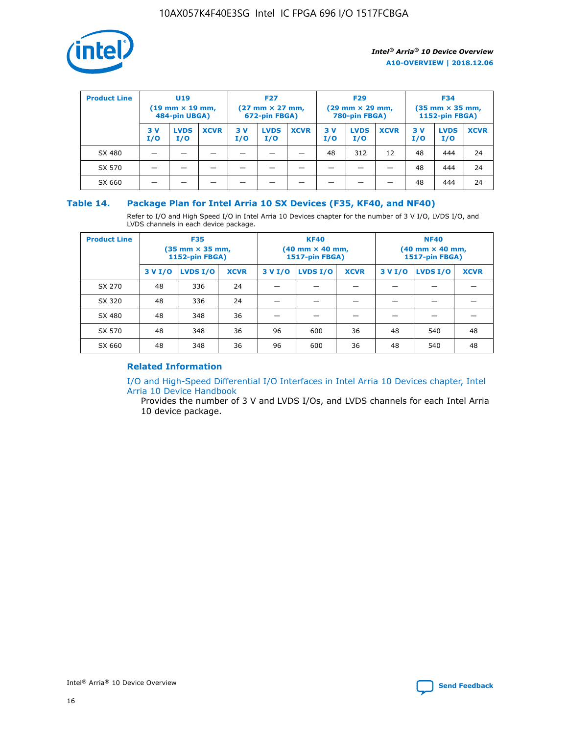

| <b>Product Line</b> | U <sub>19</sub><br>$(19 \text{ mm} \times 19 \text{ mm})$<br>484-pin UBGA) |                    | <b>F27</b><br>$(27 \text{ mm} \times 27 \text{ mm})$<br>672-pin FBGA) |            | <b>F29</b><br>$(29 \text{ mm} \times 29 \text{ mm})$<br>780-pin FBGA) |             |           | <b>F34</b><br>$(35$ mm $\times$ 35 mm,<br><b>1152-pin FBGA)</b> |             |           |                    |             |
|---------------------|----------------------------------------------------------------------------|--------------------|-----------------------------------------------------------------------|------------|-----------------------------------------------------------------------|-------------|-----------|-----------------------------------------------------------------|-------------|-----------|--------------------|-------------|
|                     | 3V<br>I/O                                                                  | <b>LVDS</b><br>I/O | <b>XCVR</b>                                                           | 3 V<br>I/O | <b>LVDS</b><br>I/O                                                    | <b>XCVR</b> | 3V<br>I/O | <b>LVDS</b><br>I/O                                              | <b>XCVR</b> | 3V<br>I/O | <b>LVDS</b><br>I/O | <b>XCVR</b> |
| SX 480              |                                                                            |                    |                                                                       |            |                                                                       |             | 48        | 312                                                             | 12          | 48        | 444                | 24          |
| SX 570              |                                                                            |                    |                                                                       |            |                                                                       |             |           |                                                                 |             | 48        | 444                | 24          |
| SX 660              |                                                                            |                    |                                                                       |            |                                                                       |             |           |                                                                 |             | 48        | 444                | 24          |

## **Table 14. Package Plan for Intel Arria 10 SX Devices (F35, KF40, and NF40)**

Refer to I/O and High Speed I/O in Intel Arria 10 Devices chapter for the number of 3 V I/O, LVDS I/O, and LVDS channels in each device package.

| <b>Product Line</b> | <b>F35</b><br>(35 mm × 35 mm,<br><b>1152-pin FBGA)</b> |          |             |                                           | <b>KF40</b><br>(40 mm × 40 mm,<br>1517-pin FBGA) |    | <b>NF40</b><br>$(40 \text{ mm} \times 40 \text{ mm})$<br>1517-pin FBGA) |          |             |  |
|---------------------|--------------------------------------------------------|----------|-------------|-------------------------------------------|--------------------------------------------------|----|-------------------------------------------------------------------------|----------|-------------|--|
|                     | 3 V I/O                                                | LVDS I/O | <b>XCVR</b> | <b>LVDS I/O</b><br>3 V I/O<br><b>XCVR</b> |                                                  |    | 3 V I/O                                                                 | LVDS I/O | <b>XCVR</b> |  |
| SX 270              | 48                                                     | 336      | 24          |                                           |                                                  |    |                                                                         |          |             |  |
| SX 320              | 48                                                     | 336      | 24          |                                           |                                                  |    |                                                                         |          |             |  |
| SX 480              | 48                                                     | 348      | 36          |                                           |                                                  |    |                                                                         |          |             |  |
| SX 570              | 48                                                     | 348      | 36          | 96                                        | 600                                              | 36 | 48                                                                      | 540      | 48          |  |
| SX 660              | 48                                                     | 348      | 36          | 96                                        | 600                                              | 36 | 48                                                                      | 540      | 48          |  |

## **Related Information**

[I/O and High-Speed Differential I/O Interfaces in Intel Arria 10 Devices chapter, Intel](https://www.intel.com/content/www/us/en/programmable/documentation/sam1403482614086.html#sam1403482030321) [Arria 10 Device Handbook](https://www.intel.com/content/www/us/en/programmable/documentation/sam1403482614086.html#sam1403482030321)

Provides the number of 3 V and LVDS I/Os, and LVDS channels for each Intel Arria 10 device package.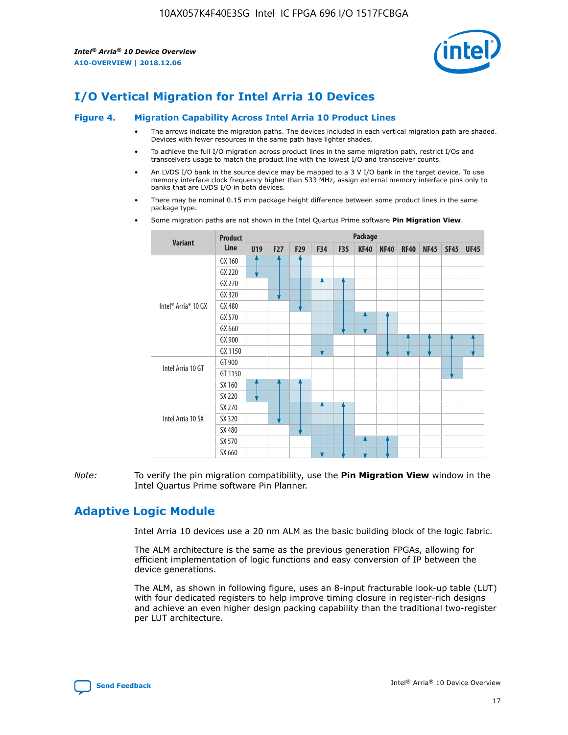

# **I/O Vertical Migration for Intel Arria 10 Devices**

#### **Figure 4. Migration Capability Across Intel Arria 10 Product Lines**

- The arrows indicate the migration paths. The devices included in each vertical migration path are shaded. Devices with fewer resources in the same path have lighter shades.
- To achieve the full I/O migration across product lines in the same migration path, restrict I/Os and transceivers usage to match the product line with the lowest I/O and transceiver counts.
- An LVDS I/O bank in the source device may be mapped to a 3 V I/O bank in the target device. To use memory interface clock frequency higher than 533 MHz, assign external memory interface pins only to banks that are LVDS I/O in both devices.
- There may be nominal 0.15 mm package height difference between some product lines in the same package type.
	- **Variant Product Line Package U19 F27 F29 F34 F35 KF40 NF40 RF40 NF45 SF45 UF45** Intel® Arria® 10 GX GX 160 GX 220 GX 270 GX 320 GX 480 GX 570 GX 660 GX 900 GX 1150 Intel Arria 10 GT GT 900 GT 1150 Intel Arria 10 SX SX 160 SX 220 SX 270 SX 320 SX 480 SX 570 SX 660
- Some migration paths are not shown in the Intel Quartus Prime software **Pin Migration View**.

*Note:* To verify the pin migration compatibility, use the **Pin Migration View** window in the Intel Quartus Prime software Pin Planner.

# **Adaptive Logic Module**

Intel Arria 10 devices use a 20 nm ALM as the basic building block of the logic fabric.

The ALM architecture is the same as the previous generation FPGAs, allowing for efficient implementation of logic functions and easy conversion of IP between the device generations.

The ALM, as shown in following figure, uses an 8-input fracturable look-up table (LUT) with four dedicated registers to help improve timing closure in register-rich designs and achieve an even higher design packing capability than the traditional two-register per LUT architecture.

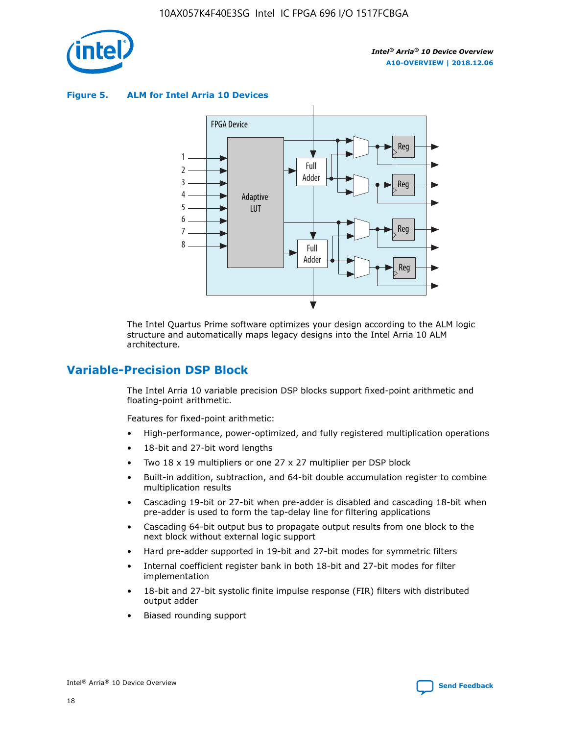

**Figure 5. ALM for Intel Arria 10 Devices**



The Intel Quartus Prime software optimizes your design according to the ALM logic structure and automatically maps legacy designs into the Intel Arria 10 ALM architecture.

## **Variable-Precision DSP Block**

The Intel Arria 10 variable precision DSP blocks support fixed-point arithmetic and floating-point arithmetic.

Features for fixed-point arithmetic:

- High-performance, power-optimized, and fully registered multiplication operations
- 18-bit and 27-bit word lengths
- Two 18 x 19 multipliers or one 27 x 27 multiplier per DSP block
- Built-in addition, subtraction, and 64-bit double accumulation register to combine multiplication results
- Cascading 19-bit or 27-bit when pre-adder is disabled and cascading 18-bit when pre-adder is used to form the tap-delay line for filtering applications
- Cascading 64-bit output bus to propagate output results from one block to the next block without external logic support
- Hard pre-adder supported in 19-bit and 27-bit modes for symmetric filters
- Internal coefficient register bank in both 18-bit and 27-bit modes for filter implementation
- 18-bit and 27-bit systolic finite impulse response (FIR) filters with distributed output adder
- Biased rounding support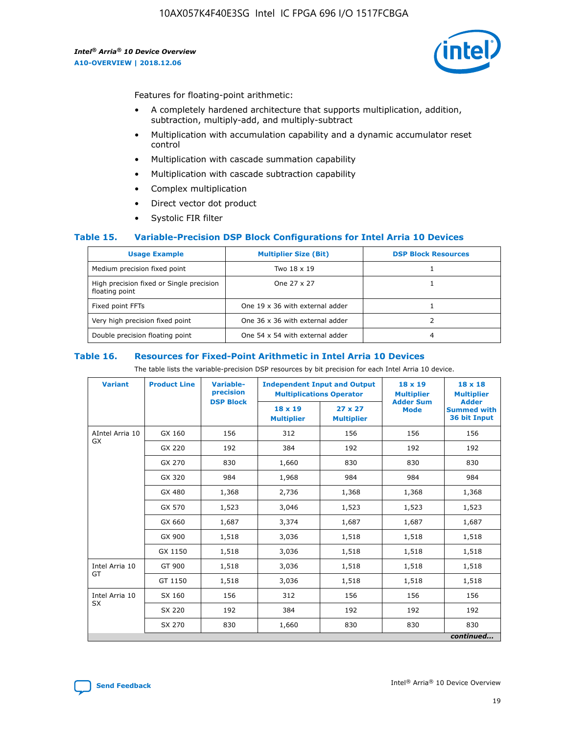

Features for floating-point arithmetic:

- A completely hardened architecture that supports multiplication, addition, subtraction, multiply-add, and multiply-subtract
- Multiplication with accumulation capability and a dynamic accumulator reset control
- Multiplication with cascade summation capability
- Multiplication with cascade subtraction capability
- Complex multiplication
- Direct vector dot product
- Systolic FIR filter

### **Table 15. Variable-Precision DSP Block Configurations for Intel Arria 10 Devices**

| <b>Usage Example</b>                                       | <b>Multiplier Size (Bit)</b>    | <b>DSP Block Resources</b> |
|------------------------------------------------------------|---------------------------------|----------------------------|
| Medium precision fixed point                               | Two 18 x 19                     |                            |
| High precision fixed or Single precision<br>floating point | One 27 x 27                     |                            |
| Fixed point FFTs                                           | One 19 x 36 with external adder |                            |
| Very high precision fixed point                            | One 36 x 36 with external adder |                            |
| Double precision floating point                            | One 54 x 54 with external adder | 4                          |

#### **Table 16. Resources for Fixed-Point Arithmetic in Intel Arria 10 Devices**

The table lists the variable-precision DSP resources by bit precision for each Intel Arria 10 device.

| <b>Variant</b>  | <b>Product Line</b> | <b>Variable-</b><br>precision<br><b>DSP Block</b> | <b>Independent Input and Output</b><br><b>Multiplications Operator</b> |                                     | 18 x 19<br><b>Multiplier</b><br><b>Adder Sum</b> | $18 \times 18$<br><b>Multiplier</b><br><b>Adder</b> |
|-----------------|---------------------|---------------------------------------------------|------------------------------------------------------------------------|-------------------------------------|--------------------------------------------------|-----------------------------------------------------|
|                 |                     |                                                   | 18 x 19<br><b>Multiplier</b>                                           | $27 \times 27$<br><b>Multiplier</b> | <b>Mode</b>                                      | <b>Summed with</b><br>36 bit Input                  |
| AIntel Arria 10 | GX 160              | 156                                               | 312                                                                    | 156                                 | 156                                              | 156                                                 |
| GX              | GX 220              | 192                                               | 384                                                                    | 192                                 | 192                                              | 192                                                 |
|                 | GX 270              | 830                                               | 1,660                                                                  | 830                                 | 830                                              | 830                                                 |
|                 | GX 320              | 984                                               | 1,968                                                                  | 984                                 | 984                                              | 984                                                 |
|                 | GX 480              | 1,368                                             | 2,736                                                                  | 1,368                               | 1,368                                            | 1,368                                               |
|                 | GX 570              | 1,523                                             | 3,046                                                                  | 1,523                               | 1,523                                            | 1,523                                               |
|                 | GX 660              | 1,687                                             | 3,374                                                                  | 1,687                               | 1,687                                            | 1,687                                               |
|                 | GX 900              | 1,518                                             | 3,036                                                                  | 1,518                               | 1,518                                            | 1,518                                               |
|                 | GX 1150             | 1,518                                             | 3,036                                                                  | 1,518                               | 1,518                                            | 1,518                                               |
| Intel Arria 10  | GT 900              | 1,518                                             | 3,036                                                                  | 1,518                               | 1,518                                            | 1,518                                               |
| GT              | GT 1150             | 1,518                                             | 3,036                                                                  | 1,518                               | 1,518                                            | 1,518                                               |
| Intel Arria 10  | SX 160              | 156                                               | 312                                                                    | 156                                 | 156                                              | 156                                                 |
| <b>SX</b>       | SX 220              | 192                                               | 384                                                                    | 192                                 | 192                                              | 192                                                 |
|                 | SX 270              | 830                                               | 1,660                                                                  | 830                                 | 830                                              | 830                                                 |
|                 |                     |                                                   |                                                                        |                                     |                                                  | continued                                           |

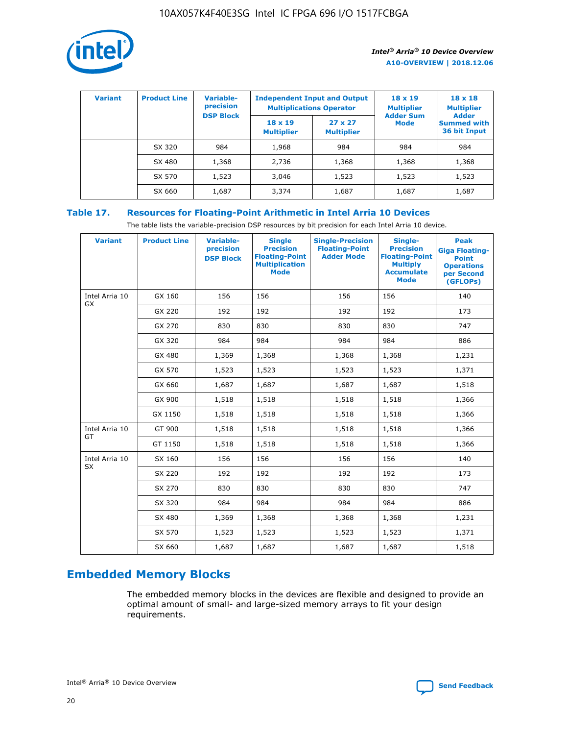

| <b>Variant</b> | <b>Product Line</b> | Variable-<br>precision | <b>Multiplications Operator</b>     | <b>Independent Input and Output</b> | $18 \times 19$<br><b>Multiplier</b> | $18 \times 18$<br><b>Multiplier</b><br><b>Adder</b> |  |
|----------------|---------------------|------------------------|-------------------------------------|-------------------------------------|-------------------------------------|-----------------------------------------------------|--|
|                |                     | <b>DSP Block</b>       | $18 \times 19$<br><b>Multiplier</b> | $27 \times 27$<br><b>Multiplier</b> | <b>Adder Sum</b><br><b>Mode</b>     | <b>Summed with</b><br>36 bit Input                  |  |
|                | SX 320              | 984                    | 1,968                               | 984                                 | 984                                 | 984                                                 |  |
|                | SX 480              | 1,368                  | 2,736                               | 1,368                               | 1,368                               | 1,368                                               |  |
|                | SX 570              | 1,523                  | 3,046                               | 1,523                               | 1,523                               | 1,523                                               |  |
|                | SX 660              | 1,687                  | 3,374                               | 1,687                               | 1,687                               | 1,687                                               |  |

## **Table 17. Resources for Floating-Point Arithmetic in Intel Arria 10 Devices**

The table lists the variable-precision DSP resources by bit precision for each Intel Arria 10 device.

| <b>Variant</b> | <b>Product Line</b> | <b>Variable-</b><br>precision<br><b>DSP Block</b> | <b>Single</b><br><b>Precision</b><br><b>Floating-Point</b><br><b>Multiplication</b><br><b>Mode</b> | <b>Single-Precision</b><br><b>Floating-Point</b><br><b>Adder Mode</b> | Single-<br><b>Precision</b><br><b>Floating-Point</b><br><b>Multiply</b><br><b>Accumulate</b><br><b>Mode</b> | <b>Peak</b><br><b>Giga Floating-</b><br><b>Point</b><br><b>Operations</b><br>per Second<br>(GFLOPs) |
|----------------|---------------------|---------------------------------------------------|----------------------------------------------------------------------------------------------------|-----------------------------------------------------------------------|-------------------------------------------------------------------------------------------------------------|-----------------------------------------------------------------------------------------------------|
| Intel Arria 10 | GX 160              | 156                                               | 156                                                                                                | 156                                                                   | 156                                                                                                         | 140                                                                                                 |
| <b>GX</b>      | GX 220              | 192                                               | 192                                                                                                | 192                                                                   | 192                                                                                                         | 173                                                                                                 |
|                | GX 270              | 830                                               | 830                                                                                                | 830                                                                   | 830                                                                                                         | 747                                                                                                 |
|                | GX 320              | 984                                               | 984                                                                                                | 984                                                                   | 984                                                                                                         | 886                                                                                                 |
|                | GX 480              | 1,369                                             | 1,368                                                                                              | 1,368                                                                 | 1,368                                                                                                       | 1,231                                                                                               |
|                | GX 570              | 1,523                                             | 1,523                                                                                              | 1,523                                                                 | 1,523                                                                                                       | 1,371                                                                                               |
|                | GX 660              | 1,687                                             | 1,687                                                                                              | 1,687                                                                 | 1,687                                                                                                       | 1,518                                                                                               |
|                | GX 900              | 1,518                                             | 1,518                                                                                              | 1,518                                                                 | 1,518                                                                                                       | 1,366                                                                                               |
|                | GX 1150             | 1,518                                             | 1,518                                                                                              | 1,518                                                                 | 1,518                                                                                                       | 1,366                                                                                               |
| Intel Arria 10 | GT 900              | 1,518                                             | 1,518                                                                                              | 1,518                                                                 | 1,518                                                                                                       | 1,366                                                                                               |
| GT             | GT 1150             | 1,518                                             | 1,518                                                                                              | 1,518                                                                 | 1,518                                                                                                       | 1,366                                                                                               |
| Intel Arria 10 | SX 160              | 156                                               | 156                                                                                                | 156                                                                   | 156                                                                                                         | 140                                                                                                 |
| SX             | SX 220              | 192                                               | 192                                                                                                | 192                                                                   | 192                                                                                                         | 173                                                                                                 |
|                | SX 270              | 830                                               | 830                                                                                                | 830                                                                   | 830                                                                                                         | 747                                                                                                 |
|                | SX 320              | 984                                               | 984                                                                                                | 984                                                                   | 984                                                                                                         | 886                                                                                                 |
|                | SX 480              | 1,369                                             | 1,368                                                                                              | 1,368                                                                 | 1,368                                                                                                       | 1,231                                                                                               |
|                | SX 570              | 1,523                                             | 1,523                                                                                              | 1,523                                                                 | 1,523                                                                                                       | 1,371                                                                                               |
|                | SX 660              | 1,687                                             | 1,687                                                                                              | 1,687                                                                 | 1,687                                                                                                       | 1,518                                                                                               |

# **Embedded Memory Blocks**

The embedded memory blocks in the devices are flexible and designed to provide an optimal amount of small- and large-sized memory arrays to fit your design requirements.

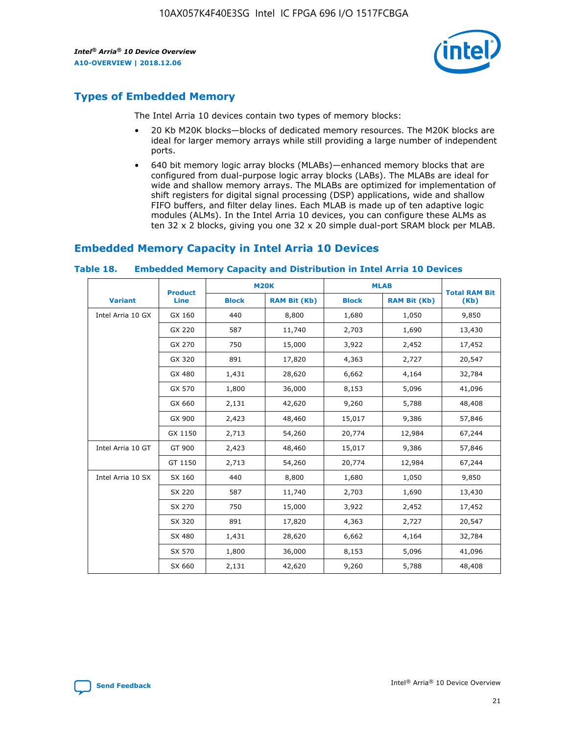

# **Types of Embedded Memory**

The Intel Arria 10 devices contain two types of memory blocks:

- 20 Kb M20K blocks—blocks of dedicated memory resources. The M20K blocks are ideal for larger memory arrays while still providing a large number of independent ports.
- 640 bit memory logic array blocks (MLABs)—enhanced memory blocks that are configured from dual-purpose logic array blocks (LABs). The MLABs are ideal for wide and shallow memory arrays. The MLABs are optimized for implementation of shift registers for digital signal processing (DSP) applications, wide and shallow FIFO buffers, and filter delay lines. Each MLAB is made up of ten adaptive logic modules (ALMs). In the Intel Arria 10 devices, you can configure these ALMs as ten 32 x 2 blocks, giving you one 32 x 20 simple dual-port SRAM block per MLAB.

# **Embedded Memory Capacity in Intel Arria 10 Devices**

|                   | <b>Product</b> |              | <b>M20K</b>         |              | <b>MLAB</b>         | <b>Total RAM Bit</b> |
|-------------------|----------------|--------------|---------------------|--------------|---------------------|----------------------|
| <b>Variant</b>    | Line           | <b>Block</b> | <b>RAM Bit (Kb)</b> | <b>Block</b> | <b>RAM Bit (Kb)</b> | (Kb)                 |
| Intel Arria 10 GX | GX 160         | 440          | 8,800               | 1,680        | 1,050               | 9,850                |
|                   | GX 220         | 587          | 11,740              | 2,703        | 1,690               | 13,430               |
|                   | GX 270         | 750          | 15,000              | 3,922        | 2,452               | 17,452               |
|                   | GX 320         | 891          | 17,820              | 4,363        | 2,727               | 20,547               |
|                   | GX 480         | 1,431        | 28,620              | 6,662        | 4,164               | 32,784               |
|                   | GX 570         | 1,800        | 36,000              | 8,153        | 5,096               | 41,096               |
|                   | GX 660         | 2,131        | 42,620              | 9,260        | 5,788               | 48,408               |
|                   | GX 900         | 2,423        | 48,460              | 15,017       | 9,386               | 57,846               |
|                   | GX 1150        | 2,713        | 54,260              | 20,774       | 12,984              | 67,244               |
| Intel Arria 10 GT | GT 900         | 2,423        | 48,460              | 15,017       | 9,386               | 57,846               |
|                   | GT 1150        | 2,713        | 54,260              | 20,774       | 12,984              | 67,244               |
| Intel Arria 10 SX | SX 160         | 440          | 8,800               | 1,680        | 1,050               | 9,850                |
|                   | SX 220         | 587          | 11,740              | 2,703        | 1,690               | 13,430               |
|                   | SX 270         | 750          | 15,000              | 3,922        | 2,452               | 17,452               |
|                   | SX 320         | 891          | 17,820              | 4,363        | 2,727               | 20,547               |
|                   | SX 480         | 1,431        | 28,620              | 6,662        | 4,164               | 32,784               |
|                   | SX 570         | 1,800        | 36,000              | 8,153        | 5,096               | 41,096               |
|                   | SX 660         | 2,131        | 42,620              | 9,260        | 5,788               | 48,408               |

#### **Table 18. Embedded Memory Capacity and Distribution in Intel Arria 10 Devices**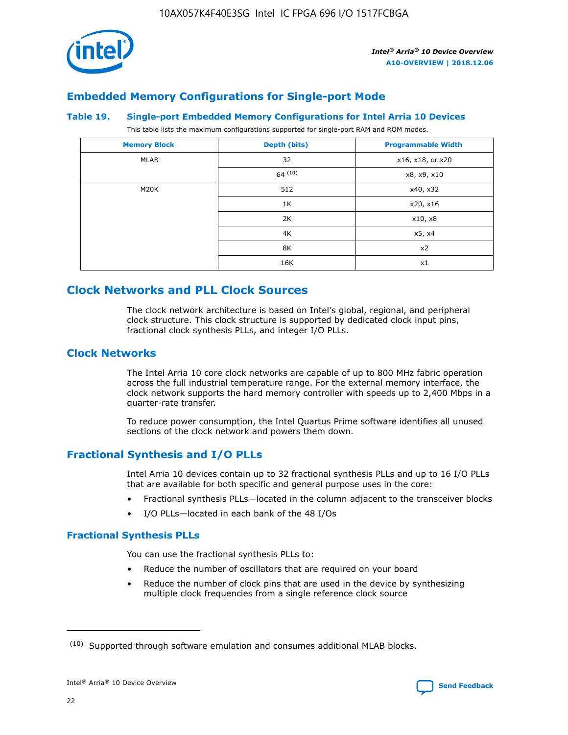

## **Embedded Memory Configurations for Single-port Mode**

#### **Table 19. Single-port Embedded Memory Configurations for Intel Arria 10 Devices**

This table lists the maximum configurations supported for single-port RAM and ROM modes.

| <b>Memory Block</b> | Depth (bits) | <b>Programmable Width</b> |
|---------------------|--------------|---------------------------|
| MLAB                | 32           | x16, x18, or x20          |
|                     | 64(10)       | x8, x9, x10               |
| M20K                | 512          | x40, x32                  |
|                     | 1K           | x20, x16                  |
|                     | 2K           | x10, x8                   |
|                     | 4K           | x5, x4                    |
|                     | 8K           | x2                        |
|                     | 16K          | x1                        |

# **Clock Networks and PLL Clock Sources**

The clock network architecture is based on Intel's global, regional, and peripheral clock structure. This clock structure is supported by dedicated clock input pins, fractional clock synthesis PLLs, and integer I/O PLLs.

## **Clock Networks**

The Intel Arria 10 core clock networks are capable of up to 800 MHz fabric operation across the full industrial temperature range. For the external memory interface, the clock network supports the hard memory controller with speeds up to 2,400 Mbps in a quarter-rate transfer.

To reduce power consumption, the Intel Quartus Prime software identifies all unused sections of the clock network and powers them down.

## **Fractional Synthesis and I/O PLLs**

Intel Arria 10 devices contain up to 32 fractional synthesis PLLs and up to 16 I/O PLLs that are available for both specific and general purpose uses in the core:

- Fractional synthesis PLLs—located in the column adjacent to the transceiver blocks
- I/O PLLs—located in each bank of the 48 I/Os

## **Fractional Synthesis PLLs**

You can use the fractional synthesis PLLs to:

- Reduce the number of oscillators that are required on your board
- Reduce the number of clock pins that are used in the device by synthesizing multiple clock frequencies from a single reference clock source

<sup>(10)</sup> Supported through software emulation and consumes additional MLAB blocks.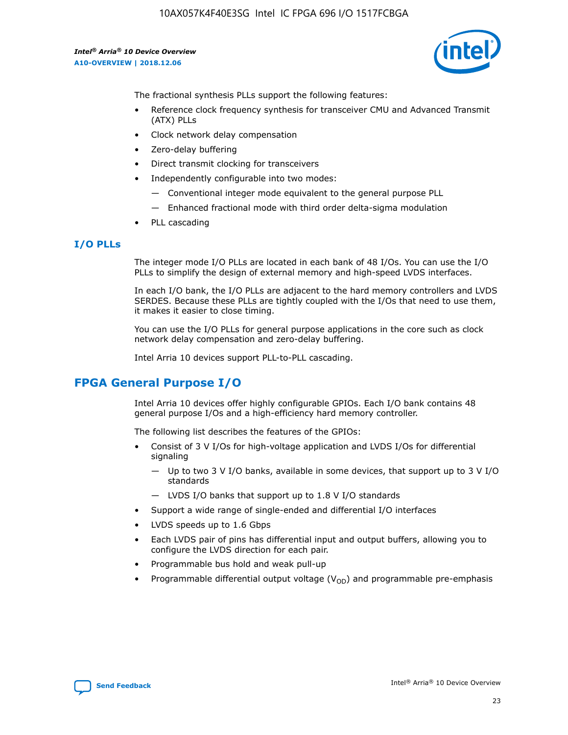10AX057K4F40E3SG Intel IC FPGA 696 I/O 1517FCBGA

*Intel® Arria® 10 Device Overview* **A10-OVERVIEW | 2018.12.06**



The fractional synthesis PLLs support the following features:

- Reference clock frequency synthesis for transceiver CMU and Advanced Transmit (ATX) PLLs
- Clock network delay compensation
- Zero-delay buffering
- Direct transmit clocking for transceivers
- Independently configurable into two modes:
	- Conventional integer mode equivalent to the general purpose PLL
	- Enhanced fractional mode with third order delta-sigma modulation
- PLL cascading

### **I/O PLLs**

The integer mode I/O PLLs are located in each bank of 48 I/Os. You can use the I/O PLLs to simplify the design of external memory and high-speed LVDS interfaces.

In each I/O bank, the I/O PLLs are adjacent to the hard memory controllers and LVDS SERDES. Because these PLLs are tightly coupled with the I/Os that need to use them, it makes it easier to close timing.

You can use the I/O PLLs for general purpose applications in the core such as clock network delay compensation and zero-delay buffering.

Intel Arria 10 devices support PLL-to-PLL cascading.

## **FPGA General Purpose I/O**

Intel Arria 10 devices offer highly configurable GPIOs. Each I/O bank contains 48 general purpose I/Os and a high-efficiency hard memory controller.

The following list describes the features of the GPIOs:

- Consist of 3 V I/Os for high-voltage application and LVDS I/Os for differential signaling
	- Up to two 3 V I/O banks, available in some devices, that support up to 3 V I/O standards
	- LVDS I/O banks that support up to 1.8 V I/O standards
- Support a wide range of single-ended and differential I/O interfaces
- LVDS speeds up to 1.6 Gbps
- Each LVDS pair of pins has differential input and output buffers, allowing you to configure the LVDS direction for each pair.
- Programmable bus hold and weak pull-up
- Programmable differential output voltage  $(V_{OD})$  and programmable pre-emphasis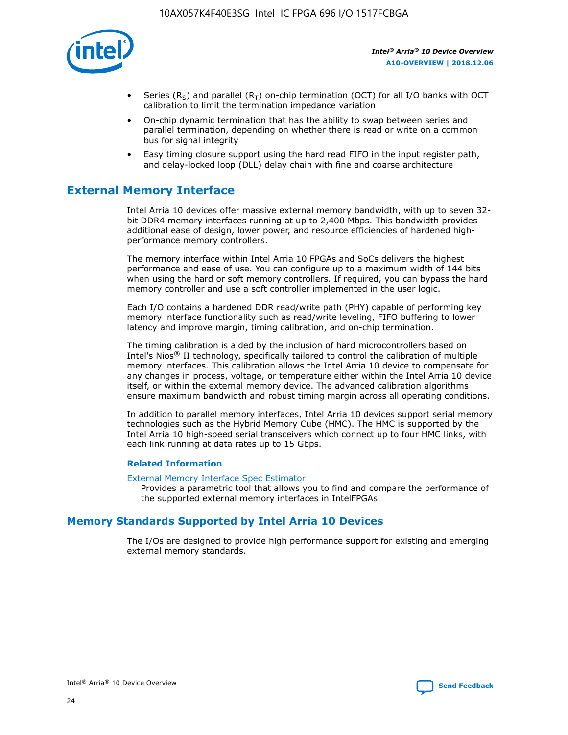

- Series (R<sub>S</sub>) and parallel (R<sub>T</sub>) on-chip termination (OCT) for all I/O banks with OCT calibration to limit the termination impedance variation
- On-chip dynamic termination that has the ability to swap between series and parallel termination, depending on whether there is read or write on a common bus for signal integrity
- Easy timing closure support using the hard read FIFO in the input register path, and delay-locked loop (DLL) delay chain with fine and coarse architecture

# **External Memory Interface**

Intel Arria 10 devices offer massive external memory bandwidth, with up to seven 32 bit DDR4 memory interfaces running at up to 2,400 Mbps. This bandwidth provides additional ease of design, lower power, and resource efficiencies of hardened highperformance memory controllers.

The memory interface within Intel Arria 10 FPGAs and SoCs delivers the highest performance and ease of use. You can configure up to a maximum width of 144 bits when using the hard or soft memory controllers. If required, you can bypass the hard memory controller and use a soft controller implemented in the user logic.

Each I/O contains a hardened DDR read/write path (PHY) capable of performing key memory interface functionality such as read/write leveling, FIFO buffering to lower latency and improve margin, timing calibration, and on-chip termination.

The timing calibration is aided by the inclusion of hard microcontrollers based on Intel's Nios® II technology, specifically tailored to control the calibration of multiple memory interfaces. This calibration allows the Intel Arria 10 device to compensate for any changes in process, voltage, or temperature either within the Intel Arria 10 device itself, or within the external memory device. The advanced calibration algorithms ensure maximum bandwidth and robust timing margin across all operating conditions.

In addition to parallel memory interfaces, Intel Arria 10 devices support serial memory technologies such as the Hybrid Memory Cube (HMC). The HMC is supported by the Intel Arria 10 high-speed serial transceivers which connect up to four HMC links, with each link running at data rates up to 15 Gbps.

### **Related Information**

#### [External Memory Interface Spec Estimator](http://www.altera.com/technology/memory/estimator/mem-emif-index.html)

Provides a parametric tool that allows you to find and compare the performance of the supported external memory interfaces in IntelFPGAs.

## **Memory Standards Supported by Intel Arria 10 Devices**

The I/Os are designed to provide high performance support for existing and emerging external memory standards.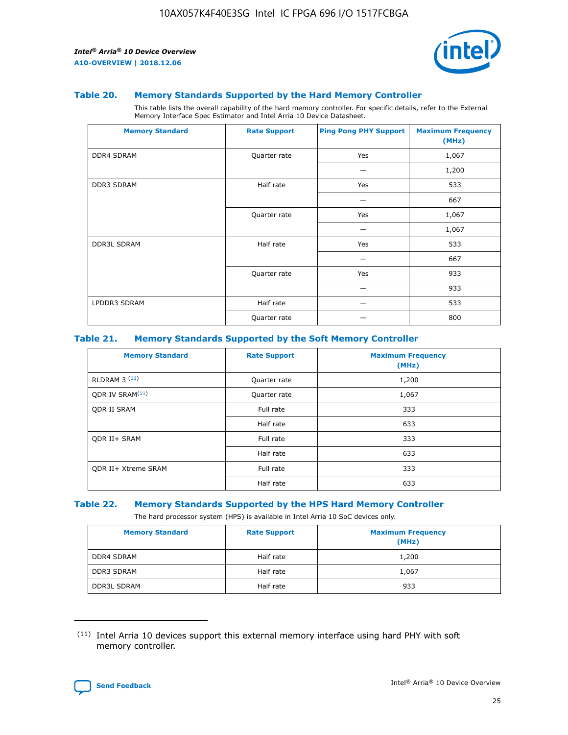

#### **Table 20. Memory Standards Supported by the Hard Memory Controller**

This table lists the overall capability of the hard memory controller. For specific details, refer to the External Memory Interface Spec Estimator and Intel Arria 10 Device Datasheet.

| <b>Memory Standard</b> | <b>Rate Support</b> | <b>Ping Pong PHY Support</b> | <b>Maximum Frequency</b><br>(MHz) |
|------------------------|---------------------|------------------------------|-----------------------------------|
| <b>DDR4 SDRAM</b>      | Quarter rate        | Yes                          | 1,067                             |
|                        |                     |                              | 1,200                             |
| DDR3 SDRAM             | Half rate           | Yes                          | 533                               |
|                        |                     |                              | 667                               |
|                        | Quarter rate        | Yes                          | 1,067                             |
|                        |                     |                              | 1,067                             |
| <b>DDR3L SDRAM</b>     | Half rate           | Yes                          | 533                               |
|                        |                     |                              | 667                               |
|                        | Quarter rate        | Yes                          | 933                               |
|                        |                     |                              | 933                               |
| LPDDR3 SDRAM           | Half rate           |                              | 533                               |
|                        | Quarter rate        |                              | 800                               |

### **Table 21. Memory Standards Supported by the Soft Memory Controller**

| <b>Memory Standard</b>      | <b>Rate Support</b> | <b>Maximum Frequency</b><br>(MHz) |
|-----------------------------|---------------------|-----------------------------------|
| <b>RLDRAM 3 (11)</b>        | Quarter rate        | 1,200                             |
| ODR IV SRAM <sup>(11)</sup> | Quarter rate        | 1,067                             |
| <b>ODR II SRAM</b>          | Full rate           | 333                               |
|                             | Half rate           | 633                               |
| <b>ODR II+ SRAM</b>         | Full rate           | 333                               |
|                             | Half rate           | 633                               |
| <b>ODR II+ Xtreme SRAM</b>  | Full rate           | 333                               |
|                             | Half rate           | 633                               |

#### **Table 22. Memory Standards Supported by the HPS Hard Memory Controller**

The hard processor system (HPS) is available in Intel Arria 10 SoC devices only.

| <b>Memory Standard</b> | <b>Rate Support</b> | <b>Maximum Frequency</b><br>(MHz) |
|------------------------|---------------------|-----------------------------------|
| <b>DDR4 SDRAM</b>      | Half rate           | 1,200                             |
| <b>DDR3 SDRAM</b>      | Half rate           | 1,067                             |
| <b>DDR3L SDRAM</b>     | Half rate           | 933                               |

<sup>(11)</sup> Intel Arria 10 devices support this external memory interface using hard PHY with soft memory controller.

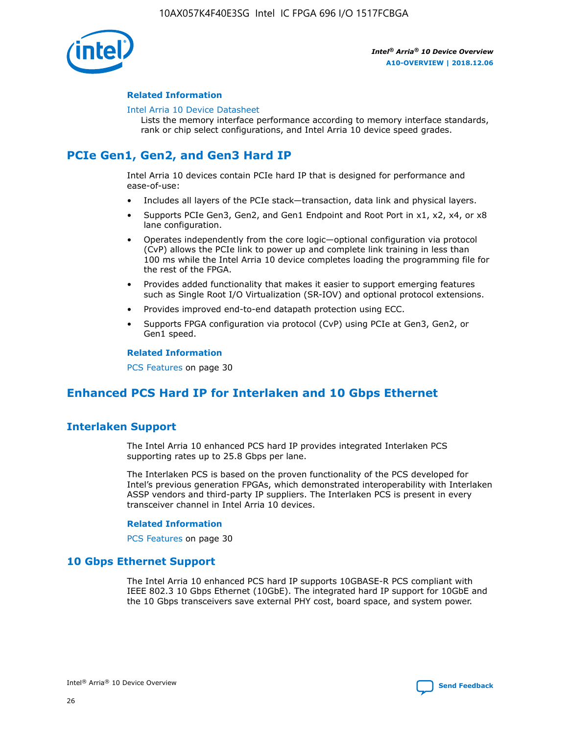

### **Related Information**

#### [Intel Arria 10 Device Datasheet](https://www.intel.com/content/www/us/en/programmable/documentation/mcn1413182292568.html#mcn1413182153340)

Lists the memory interface performance according to memory interface standards, rank or chip select configurations, and Intel Arria 10 device speed grades.

# **PCIe Gen1, Gen2, and Gen3 Hard IP**

Intel Arria 10 devices contain PCIe hard IP that is designed for performance and ease-of-use:

- Includes all layers of the PCIe stack—transaction, data link and physical layers.
- Supports PCIe Gen3, Gen2, and Gen1 Endpoint and Root Port in x1, x2, x4, or x8 lane configuration.
- Operates independently from the core logic—optional configuration via protocol (CvP) allows the PCIe link to power up and complete link training in less than 100 ms while the Intel Arria 10 device completes loading the programming file for the rest of the FPGA.
- Provides added functionality that makes it easier to support emerging features such as Single Root I/O Virtualization (SR-IOV) and optional protocol extensions.
- Provides improved end-to-end datapath protection using ECC.
- Supports FPGA configuration via protocol (CvP) using PCIe at Gen3, Gen2, or Gen1 speed.

#### **Related Information**

PCS Features on page 30

# **Enhanced PCS Hard IP for Interlaken and 10 Gbps Ethernet**

## **Interlaken Support**

The Intel Arria 10 enhanced PCS hard IP provides integrated Interlaken PCS supporting rates up to 25.8 Gbps per lane.

The Interlaken PCS is based on the proven functionality of the PCS developed for Intel's previous generation FPGAs, which demonstrated interoperability with Interlaken ASSP vendors and third-party IP suppliers. The Interlaken PCS is present in every transceiver channel in Intel Arria 10 devices.

### **Related Information**

PCS Features on page 30

## **10 Gbps Ethernet Support**

The Intel Arria 10 enhanced PCS hard IP supports 10GBASE-R PCS compliant with IEEE 802.3 10 Gbps Ethernet (10GbE). The integrated hard IP support for 10GbE and the 10 Gbps transceivers save external PHY cost, board space, and system power.

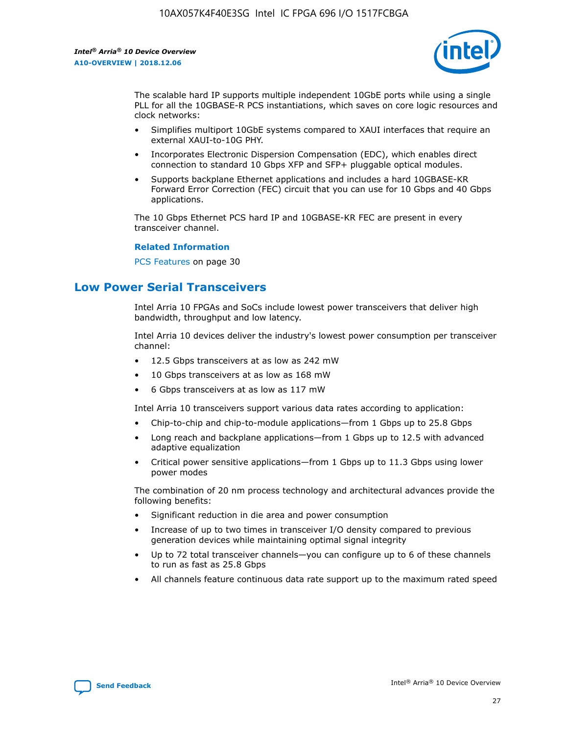

The scalable hard IP supports multiple independent 10GbE ports while using a single PLL for all the 10GBASE-R PCS instantiations, which saves on core logic resources and clock networks:

- Simplifies multiport 10GbE systems compared to XAUI interfaces that require an external XAUI-to-10G PHY.
- Incorporates Electronic Dispersion Compensation (EDC), which enables direct connection to standard 10 Gbps XFP and SFP+ pluggable optical modules.
- Supports backplane Ethernet applications and includes a hard 10GBASE-KR Forward Error Correction (FEC) circuit that you can use for 10 Gbps and 40 Gbps applications.

The 10 Gbps Ethernet PCS hard IP and 10GBASE-KR FEC are present in every transceiver channel.

#### **Related Information**

PCS Features on page 30

# **Low Power Serial Transceivers**

Intel Arria 10 FPGAs and SoCs include lowest power transceivers that deliver high bandwidth, throughput and low latency.

Intel Arria 10 devices deliver the industry's lowest power consumption per transceiver channel:

- 12.5 Gbps transceivers at as low as 242 mW
- 10 Gbps transceivers at as low as 168 mW
- 6 Gbps transceivers at as low as 117 mW

Intel Arria 10 transceivers support various data rates according to application:

- Chip-to-chip and chip-to-module applications—from 1 Gbps up to 25.8 Gbps
- Long reach and backplane applications—from 1 Gbps up to 12.5 with advanced adaptive equalization
- Critical power sensitive applications—from 1 Gbps up to 11.3 Gbps using lower power modes

The combination of 20 nm process technology and architectural advances provide the following benefits:

- Significant reduction in die area and power consumption
- Increase of up to two times in transceiver I/O density compared to previous generation devices while maintaining optimal signal integrity
- Up to 72 total transceiver channels—you can configure up to 6 of these channels to run as fast as 25.8 Gbps
- All channels feature continuous data rate support up to the maximum rated speed

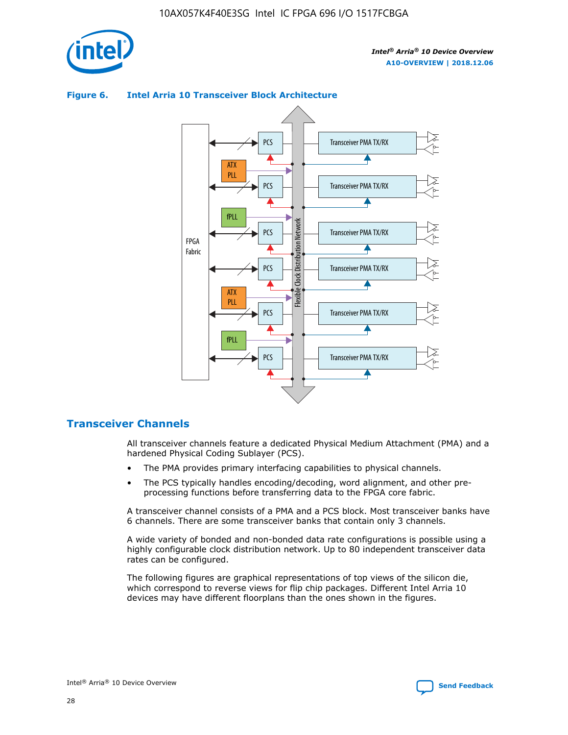



## **Figure 6. Intel Arria 10 Transceiver Block Architecture**

## **Transceiver Channels**

All transceiver channels feature a dedicated Physical Medium Attachment (PMA) and a hardened Physical Coding Sublayer (PCS).

- The PMA provides primary interfacing capabilities to physical channels.
- The PCS typically handles encoding/decoding, word alignment, and other preprocessing functions before transferring data to the FPGA core fabric.

A transceiver channel consists of a PMA and a PCS block. Most transceiver banks have 6 channels. There are some transceiver banks that contain only 3 channels.

A wide variety of bonded and non-bonded data rate configurations is possible using a highly configurable clock distribution network. Up to 80 independent transceiver data rates can be configured.

The following figures are graphical representations of top views of the silicon die, which correspond to reverse views for flip chip packages. Different Intel Arria 10 devices may have different floorplans than the ones shown in the figures.

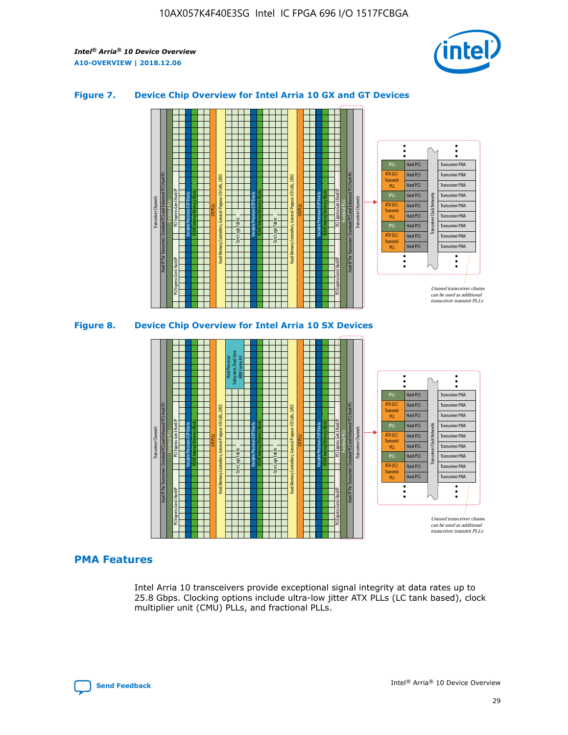

## **Figure 7. Device Chip Overview for Intel Arria 10 GX and GT Devices**





## **PMA Features**

Intel Arria 10 transceivers provide exceptional signal integrity at data rates up to 25.8 Gbps. Clocking options include ultra-low jitter ATX PLLs (LC tank based), clock multiplier unit (CMU) PLLs, and fractional PLLs.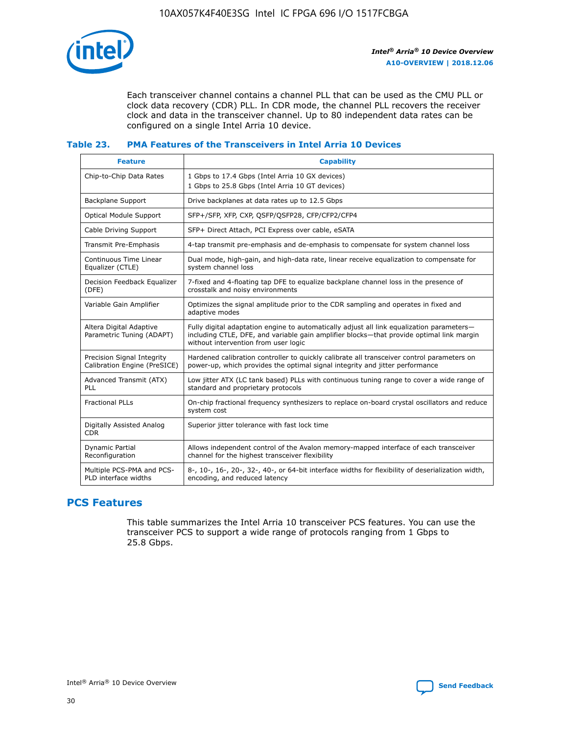

Each transceiver channel contains a channel PLL that can be used as the CMU PLL or clock data recovery (CDR) PLL. In CDR mode, the channel PLL recovers the receiver clock and data in the transceiver channel. Up to 80 independent data rates can be configured on a single Intel Arria 10 device.

## **Table 23. PMA Features of the Transceivers in Intel Arria 10 Devices**

| <b>Feature</b>                                             | <b>Capability</b>                                                                                                                                                                                                             |
|------------------------------------------------------------|-------------------------------------------------------------------------------------------------------------------------------------------------------------------------------------------------------------------------------|
| Chip-to-Chip Data Rates                                    | 1 Gbps to 17.4 Gbps (Intel Arria 10 GX devices)<br>1 Gbps to 25.8 Gbps (Intel Arria 10 GT devices)                                                                                                                            |
| <b>Backplane Support</b>                                   | Drive backplanes at data rates up to 12.5 Gbps                                                                                                                                                                                |
| Optical Module Support                                     | SFP+/SFP, XFP, CXP, QSFP/QSFP28, CFP/CFP2/CFP4                                                                                                                                                                                |
| Cable Driving Support                                      | SFP+ Direct Attach, PCI Express over cable, eSATA                                                                                                                                                                             |
| Transmit Pre-Emphasis                                      | 4-tap transmit pre-emphasis and de-emphasis to compensate for system channel loss                                                                                                                                             |
| Continuous Time Linear<br>Equalizer (CTLE)                 | Dual mode, high-gain, and high-data rate, linear receive equalization to compensate for<br>system channel loss                                                                                                                |
| Decision Feedback Equalizer<br>(DFE)                       | 7-fixed and 4-floating tap DFE to equalize backplane channel loss in the presence of<br>crosstalk and noisy environments                                                                                                      |
| Variable Gain Amplifier                                    | Optimizes the signal amplitude prior to the CDR sampling and operates in fixed and<br>adaptive modes                                                                                                                          |
| Altera Digital Adaptive<br>Parametric Tuning (ADAPT)       | Fully digital adaptation engine to automatically adjust all link equalization parameters-<br>including CTLE, DFE, and variable gain amplifier blocks—that provide optimal link margin<br>without intervention from user logic |
| Precision Signal Integrity<br>Calibration Engine (PreSICE) | Hardened calibration controller to quickly calibrate all transceiver control parameters on<br>power-up, which provides the optimal signal integrity and jitter performance                                                    |
| Advanced Transmit (ATX)<br><b>PLL</b>                      | Low jitter ATX (LC tank based) PLLs with continuous tuning range to cover a wide range of<br>standard and proprietary protocols                                                                                               |
| <b>Fractional PLLs</b>                                     | On-chip fractional frequency synthesizers to replace on-board crystal oscillators and reduce<br>system cost                                                                                                                   |
| Digitally Assisted Analog<br><b>CDR</b>                    | Superior jitter tolerance with fast lock time                                                                                                                                                                                 |
| Dynamic Partial<br>Reconfiguration                         | Allows independent control of the Avalon memory-mapped interface of each transceiver<br>channel for the highest transceiver flexibility                                                                                       |
| Multiple PCS-PMA and PCS-<br>PLD interface widths          | 8-, 10-, 16-, 20-, 32-, 40-, or 64-bit interface widths for flexibility of deserialization width,<br>encoding, and reduced latency                                                                                            |

## **PCS Features**

This table summarizes the Intel Arria 10 transceiver PCS features. You can use the transceiver PCS to support a wide range of protocols ranging from 1 Gbps to 25.8 Gbps.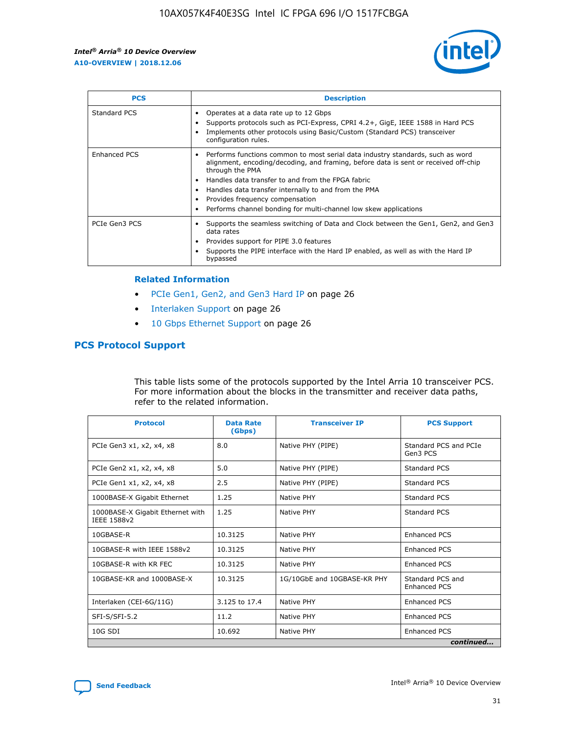

| <b>PCS</b>    | <b>Description</b>                                                                                                                                                                                                                                                                                                                                                                                             |
|---------------|----------------------------------------------------------------------------------------------------------------------------------------------------------------------------------------------------------------------------------------------------------------------------------------------------------------------------------------------------------------------------------------------------------------|
| Standard PCS  | Operates at a data rate up to 12 Gbps<br>Supports protocols such as PCI-Express, CPRI 4.2+, GigE, IEEE 1588 in Hard PCS<br>Implements other protocols using Basic/Custom (Standard PCS) transceiver<br>configuration rules.                                                                                                                                                                                    |
| Enhanced PCS  | Performs functions common to most serial data industry standards, such as word<br>alignment, encoding/decoding, and framing, before data is sent or received off-chip<br>through the PMA<br>• Handles data transfer to and from the FPGA fabric<br>Handles data transfer internally to and from the PMA<br>Provides frequency compensation<br>Performs channel bonding for multi-channel low skew applications |
| PCIe Gen3 PCS | Supports the seamless switching of Data and Clock between the Gen1, Gen2, and Gen3<br>data rates<br>Provides support for PIPE 3.0 features<br>Supports the PIPE interface with the Hard IP enabled, as well as with the Hard IP<br>bypassed                                                                                                                                                                    |

#### **Related Information**

- PCIe Gen1, Gen2, and Gen3 Hard IP on page 26
- Interlaken Support on page 26
- 10 Gbps Ethernet Support on page 26

## **PCS Protocol Support**

This table lists some of the protocols supported by the Intel Arria 10 transceiver PCS. For more information about the blocks in the transmitter and receiver data paths, refer to the related information.

| <b>Protocol</b>                                 | <b>Data Rate</b><br>(Gbps) | <b>Transceiver IP</b>       | <b>PCS Support</b>                      |
|-------------------------------------------------|----------------------------|-----------------------------|-----------------------------------------|
| PCIe Gen3 x1, x2, x4, x8                        | 8.0                        | Native PHY (PIPE)           | Standard PCS and PCIe<br>Gen3 PCS       |
| PCIe Gen2 x1, x2, x4, x8                        | 5.0                        | Native PHY (PIPE)           | <b>Standard PCS</b>                     |
| PCIe Gen1 x1, x2, x4, x8                        | 2.5                        | Native PHY (PIPE)           | Standard PCS                            |
| 1000BASE-X Gigabit Ethernet                     | 1.25                       | Native PHY                  | <b>Standard PCS</b>                     |
| 1000BASE-X Gigabit Ethernet with<br>IEEE 1588v2 | 1.25                       | Native PHY                  | Standard PCS                            |
| 10GBASE-R                                       | 10.3125                    | Native PHY                  | <b>Enhanced PCS</b>                     |
| 10GBASE-R with IEEE 1588v2                      | 10.3125                    | Native PHY                  | <b>Enhanced PCS</b>                     |
| 10GBASE-R with KR FEC                           | 10.3125                    | Native PHY                  | <b>Enhanced PCS</b>                     |
| 10GBASE-KR and 1000BASE-X                       | 10.3125                    | 1G/10GbE and 10GBASE-KR PHY | Standard PCS and<br><b>Enhanced PCS</b> |
| Interlaken (CEI-6G/11G)                         | 3.125 to 17.4              | Native PHY                  | <b>Enhanced PCS</b>                     |
| SFI-S/SFI-5.2                                   | 11.2                       | Native PHY                  | <b>Enhanced PCS</b>                     |
| 10G SDI                                         | 10.692                     | Native PHY                  | Enhanced PCS                            |
|                                                 |                            |                             | continued                               |

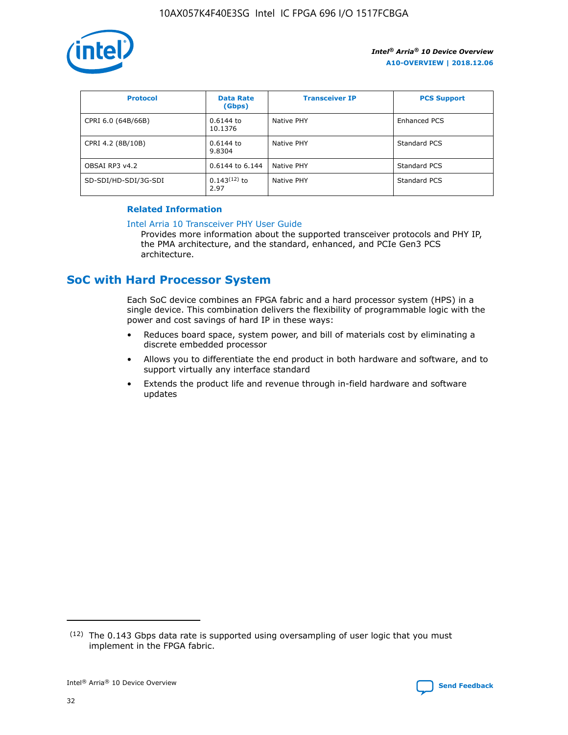

| <b>Protocol</b>      | <b>Data Rate</b><br>(Gbps) | <b>Transceiver IP</b> | <b>PCS Support</b> |
|----------------------|----------------------------|-----------------------|--------------------|
| CPRI 6.0 (64B/66B)   | 0.6144 to<br>10.1376       | Native PHY            | Enhanced PCS       |
| CPRI 4.2 (8B/10B)    | 0.6144 to<br>9.8304        | Native PHY            | Standard PCS       |
| OBSAI RP3 v4.2       | 0.6144 to 6.144            | Native PHY            | Standard PCS       |
| SD-SDI/HD-SDI/3G-SDI | $0.143(12)$ to<br>2.97     | Native PHY            | Standard PCS       |

## **Related Information**

#### [Intel Arria 10 Transceiver PHY User Guide](https://www.intel.com/content/www/us/en/programmable/documentation/nik1398707230472.html#nik1398707091164)

Provides more information about the supported transceiver protocols and PHY IP, the PMA architecture, and the standard, enhanced, and PCIe Gen3 PCS architecture.

# **SoC with Hard Processor System**

Each SoC device combines an FPGA fabric and a hard processor system (HPS) in a single device. This combination delivers the flexibility of programmable logic with the power and cost savings of hard IP in these ways:

- Reduces board space, system power, and bill of materials cost by eliminating a discrete embedded processor
- Allows you to differentiate the end product in both hardware and software, and to support virtually any interface standard
- Extends the product life and revenue through in-field hardware and software updates

<sup>(12)</sup> The 0.143 Gbps data rate is supported using oversampling of user logic that you must implement in the FPGA fabric.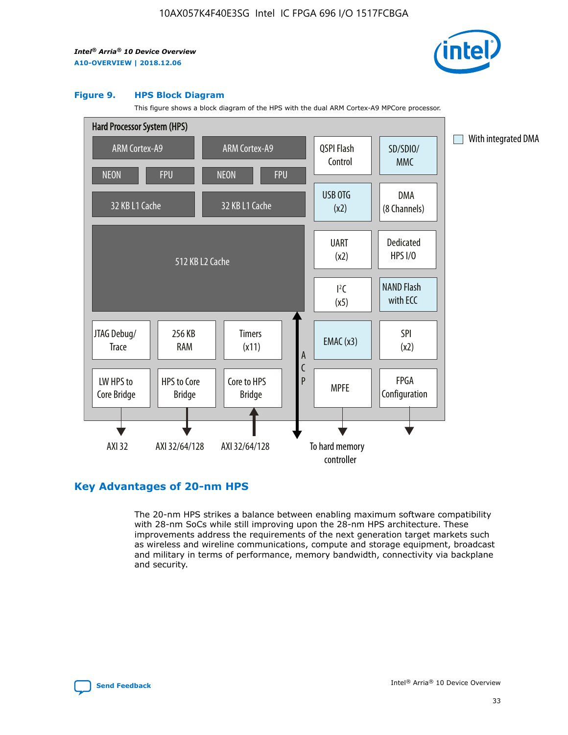

#### **Figure 9. HPS Block Diagram**

This figure shows a block diagram of the HPS with the dual ARM Cortex-A9 MPCore processor.



## **Key Advantages of 20-nm HPS**

The 20-nm HPS strikes a balance between enabling maximum software compatibility with 28-nm SoCs while still improving upon the 28-nm HPS architecture. These improvements address the requirements of the next generation target markets such as wireless and wireline communications, compute and storage equipment, broadcast and military in terms of performance, memory bandwidth, connectivity via backplane and security.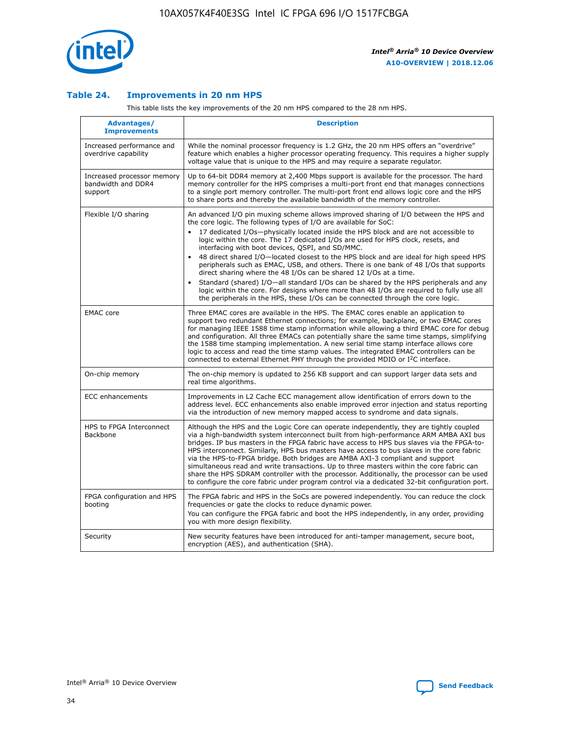

## **Table 24. Improvements in 20 nm HPS**

This table lists the key improvements of the 20 nm HPS compared to the 28 nm HPS.

| Advantages/<br><b>Improvements</b>                          | <b>Description</b>                                                                                                                                                                                                                                                                                                                                                                                                                                                                                                                                                                                                                                                                                                                                                                                                                                                                                                      |
|-------------------------------------------------------------|-------------------------------------------------------------------------------------------------------------------------------------------------------------------------------------------------------------------------------------------------------------------------------------------------------------------------------------------------------------------------------------------------------------------------------------------------------------------------------------------------------------------------------------------------------------------------------------------------------------------------------------------------------------------------------------------------------------------------------------------------------------------------------------------------------------------------------------------------------------------------------------------------------------------------|
| Increased performance and<br>overdrive capability           | While the nominal processor frequency is 1.2 GHz, the 20 nm HPS offers an "overdrive"<br>feature which enables a higher processor operating frequency. This requires a higher supply<br>voltage value that is unique to the HPS and may require a separate regulator.                                                                                                                                                                                                                                                                                                                                                                                                                                                                                                                                                                                                                                                   |
| Increased processor memory<br>bandwidth and DDR4<br>support | Up to 64-bit DDR4 memory at 2,400 Mbps support is available for the processor. The hard<br>memory controller for the HPS comprises a multi-port front end that manages connections<br>to a single port memory controller. The multi-port front end allows logic core and the HPS<br>to share ports and thereby the available bandwidth of the memory controller.                                                                                                                                                                                                                                                                                                                                                                                                                                                                                                                                                        |
| Flexible I/O sharing                                        | An advanced I/O pin muxing scheme allows improved sharing of I/O between the HPS and<br>the core logic. The following types of I/O are available for SoC:<br>17 dedicated I/Os-physically located inside the HPS block and are not accessible to<br>logic within the core. The 17 dedicated I/Os are used for HPS clock, resets, and<br>interfacing with boot devices, QSPI, and SD/MMC.<br>48 direct shared I/O-located closest to the HPS block and are ideal for high speed HPS<br>peripherals such as EMAC, USB, and others. There is one bank of 48 I/Os that supports<br>direct sharing where the 48 I/Os can be shared 12 I/Os at a time.<br>Standard (shared) I/O—all standard I/Os can be shared by the HPS peripherals and any<br>logic within the core. For designs where more than 48 I/Os are required to fully use all<br>the peripherals in the HPS, these I/Os can be connected through the core logic. |
| <b>EMAC</b> core                                            | Three EMAC cores are available in the HPS. The EMAC cores enable an application to<br>support two redundant Ethernet connections; for example, backplane, or two EMAC cores<br>for managing IEEE 1588 time stamp information while allowing a third EMAC core for debug<br>and configuration. All three EMACs can potentially share the same time stamps, simplifying<br>the 1588 time stamping implementation. A new serial time stamp interface allows core<br>logic to access and read the time stamp values. The integrated EMAC controllers can be<br>connected to external Ethernet PHY through the provided MDIO or I <sup>2</sup> C interface.                                                                                                                                                                                                                                                                  |
| On-chip memory                                              | The on-chip memory is updated to 256 KB support and can support larger data sets and<br>real time algorithms.                                                                                                                                                                                                                                                                                                                                                                                                                                                                                                                                                                                                                                                                                                                                                                                                           |
| <b>ECC</b> enhancements                                     | Improvements in L2 Cache ECC management allow identification of errors down to the<br>address level. ECC enhancements also enable improved error injection and status reporting<br>via the introduction of new memory mapped access to syndrome and data signals.                                                                                                                                                                                                                                                                                                                                                                                                                                                                                                                                                                                                                                                       |
| HPS to FPGA Interconnect<br>Backbone                        | Although the HPS and the Logic Core can operate independently, they are tightly coupled<br>via a high-bandwidth system interconnect built from high-performance ARM AMBA AXI bus<br>bridges. IP bus masters in the FPGA fabric have access to HPS bus slaves via the FPGA-to-<br>HPS interconnect. Similarly, HPS bus masters have access to bus slaves in the core fabric<br>via the HPS-to-FPGA bridge. Both bridges are AMBA AXI-3 compliant and support<br>simultaneous read and write transactions. Up to three masters within the core fabric can<br>share the HPS SDRAM controller with the processor. Additionally, the processor can be used<br>to configure the core fabric under program control via a dedicated 32-bit configuration port.                                                                                                                                                                  |
| FPGA configuration and HPS<br>booting                       | The FPGA fabric and HPS in the SoCs are powered independently. You can reduce the clock<br>frequencies or gate the clocks to reduce dynamic power.<br>You can configure the FPGA fabric and boot the HPS independently, in any order, providing<br>you with more design flexibility.                                                                                                                                                                                                                                                                                                                                                                                                                                                                                                                                                                                                                                    |
| Security                                                    | New security features have been introduced for anti-tamper management, secure boot,<br>encryption (AES), and authentication (SHA).                                                                                                                                                                                                                                                                                                                                                                                                                                                                                                                                                                                                                                                                                                                                                                                      |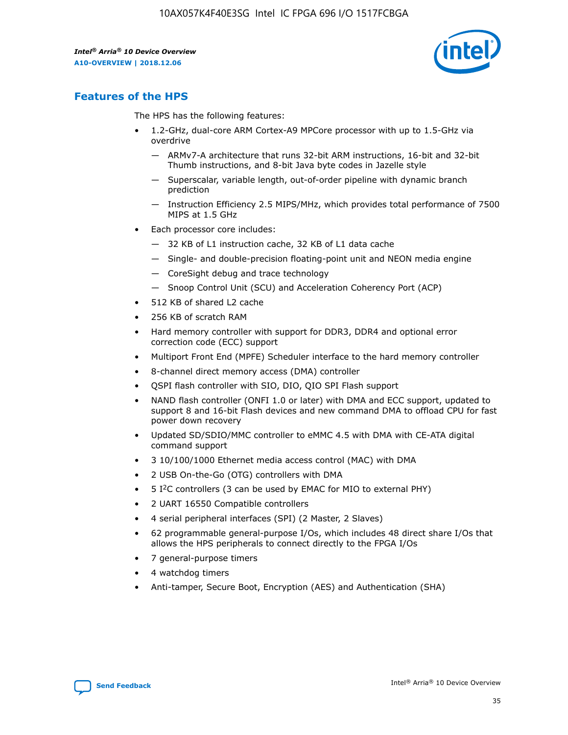

## **Features of the HPS**

The HPS has the following features:

- 1.2-GHz, dual-core ARM Cortex-A9 MPCore processor with up to 1.5-GHz via overdrive
	- ARMv7-A architecture that runs 32-bit ARM instructions, 16-bit and 32-bit Thumb instructions, and 8-bit Java byte codes in Jazelle style
	- Superscalar, variable length, out-of-order pipeline with dynamic branch prediction
	- Instruction Efficiency 2.5 MIPS/MHz, which provides total performance of 7500 MIPS at 1.5 GHz
- Each processor core includes:
	- 32 KB of L1 instruction cache, 32 KB of L1 data cache
	- Single- and double-precision floating-point unit and NEON media engine
	- CoreSight debug and trace technology
	- Snoop Control Unit (SCU) and Acceleration Coherency Port (ACP)
- 512 KB of shared L2 cache
- 256 KB of scratch RAM
- Hard memory controller with support for DDR3, DDR4 and optional error correction code (ECC) support
- Multiport Front End (MPFE) Scheduler interface to the hard memory controller
- 8-channel direct memory access (DMA) controller
- QSPI flash controller with SIO, DIO, QIO SPI Flash support
- NAND flash controller (ONFI 1.0 or later) with DMA and ECC support, updated to support 8 and 16-bit Flash devices and new command DMA to offload CPU for fast power down recovery
- Updated SD/SDIO/MMC controller to eMMC 4.5 with DMA with CE-ATA digital command support
- 3 10/100/1000 Ethernet media access control (MAC) with DMA
- 2 USB On-the-Go (OTG) controllers with DMA
- $\bullet$  5 I<sup>2</sup>C controllers (3 can be used by EMAC for MIO to external PHY)
- 2 UART 16550 Compatible controllers
- 4 serial peripheral interfaces (SPI) (2 Master, 2 Slaves)
- 62 programmable general-purpose I/Os, which includes 48 direct share I/Os that allows the HPS peripherals to connect directly to the FPGA I/Os
- 7 general-purpose timers
- 4 watchdog timers
- Anti-tamper, Secure Boot, Encryption (AES) and Authentication (SHA)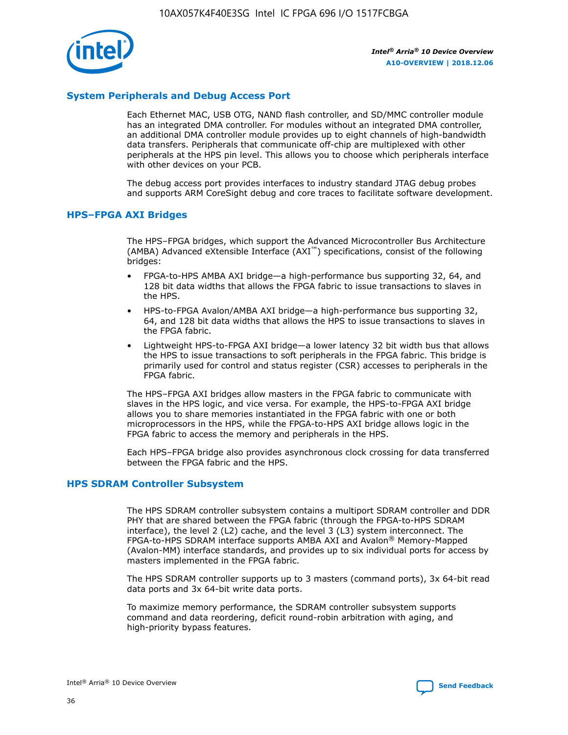

## **System Peripherals and Debug Access Port**

Each Ethernet MAC, USB OTG, NAND flash controller, and SD/MMC controller module has an integrated DMA controller. For modules without an integrated DMA controller, an additional DMA controller module provides up to eight channels of high-bandwidth data transfers. Peripherals that communicate off-chip are multiplexed with other peripherals at the HPS pin level. This allows you to choose which peripherals interface with other devices on your PCB.

The debug access port provides interfaces to industry standard JTAG debug probes and supports ARM CoreSight debug and core traces to facilitate software development.

## **HPS–FPGA AXI Bridges**

The HPS–FPGA bridges, which support the Advanced Microcontroller Bus Architecture (AMBA) Advanced eXtensible Interface (AXI™) specifications, consist of the following bridges:

- FPGA-to-HPS AMBA AXI bridge—a high-performance bus supporting 32, 64, and 128 bit data widths that allows the FPGA fabric to issue transactions to slaves in the HPS.
- HPS-to-FPGA Avalon/AMBA AXI bridge—a high-performance bus supporting 32, 64, and 128 bit data widths that allows the HPS to issue transactions to slaves in the FPGA fabric.
- Lightweight HPS-to-FPGA AXI bridge—a lower latency 32 bit width bus that allows the HPS to issue transactions to soft peripherals in the FPGA fabric. This bridge is primarily used for control and status register (CSR) accesses to peripherals in the FPGA fabric.

The HPS–FPGA AXI bridges allow masters in the FPGA fabric to communicate with slaves in the HPS logic, and vice versa. For example, the HPS-to-FPGA AXI bridge allows you to share memories instantiated in the FPGA fabric with one or both microprocessors in the HPS, while the FPGA-to-HPS AXI bridge allows logic in the FPGA fabric to access the memory and peripherals in the HPS.

Each HPS–FPGA bridge also provides asynchronous clock crossing for data transferred between the FPGA fabric and the HPS.

### **HPS SDRAM Controller Subsystem**

The HPS SDRAM controller subsystem contains a multiport SDRAM controller and DDR PHY that are shared between the FPGA fabric (through the FPGA-to-HPS SDRAM interface), the level 2 (L2) cache, and the level 3 (L3) system interconnect. The FPGA-to-HPS SDRAM interface supports AMBA AXI and Avalon® Memory-Mapped (Avalon-MM) interface standards, and provides up to six individual ports for access by masters implemented in the FPGA fabric.

The HPS SDRAM controller supports up to 3 masters (command ports), 3x 64-bit read data ports and 3x 64-bit write data ports.

To maximize memory performance, the SDRAM controller subsystem supports command and data reordering, deficit round-robin arbitration with aging, and high-priority bypass features.

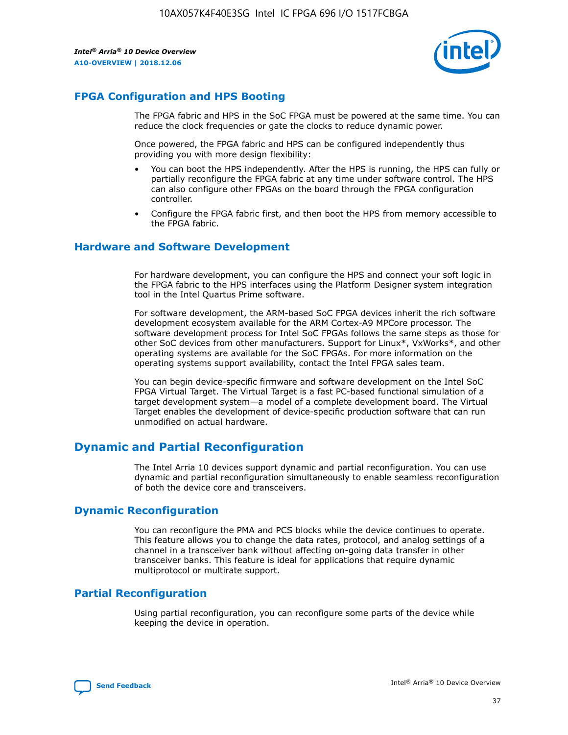

## **FPGA Configuration and HPS Booting**

The FPGA fabric and HPS in the SoC FPGA must be powered at the same time. You can reduce the clock frequencies or gate the clocks to reduce dynamic power.

Once powered, the FPGA fabric and HPS can be configured independently thus providing you with more design flexibility:

- You can boot the HPS independently. After the HPS is running, the HPS can fully or partially reconfigure the FPGA fabric at any time under software control. The HPS can also configure other FPGAs on the board through the FPGA configuration controller.
- Configure the FPGA fabric first, and then boot the HPS from memory accessible to the FPGA fabric.

## **Hardware and Software Development**

For hardware development, you can configure the HPS and connect your soft logic in the FPGA fabric to the HPS interfaces using the Platform Designer system integration tool in the Intel Quartus Prime software.

For software development, the ARM-based SoC FPGA devices inherit the rich software development ecosystem available for the ARM Cortex-A9 MPCore processor. The software development process for Intel SoC FPGAs follows the same steps as those for other SoC devices from other manufacturers. Support for Linux\*, VxWorks\*, and other operating systems are available for the SoC FPGAs. For more information on the operating systems support availability, contact the Intel FPGA sales team.

You can begin device-specific firmware and software development on the Intel SoC FPGA Virtual Target. The Virtual Target is a fast PC-based functional simulation of a target development system—a model of a complete development board. The Virtual Target enables the development of device-specific production software that can run unmodified on actual hardware.

## **Dynamic and Partial Reconfiguration**

The Intel Arria 10 devices support dynamic and partial reconfiguration. You can use dynamic and partial reconfiguration simultaneously to enable seamless reconfiguration of both the device core and transceivers.

## **Dynamic Reconfiguration**

You can reconfigure the PMA and PCS blocks while the device continues to operate. This feature allows you to change the data rates, protocol, and analog settings of a channel in a transceiver bank without affecting on-going data transfer in other transceiver banks. This feature is ideal for applications that require dynamic multiprotocol or multirate support.

## **Partial Reconfiguration**

Using partial reconfiguration, you can reconfigure some parts of the device while keeping the device in operation.

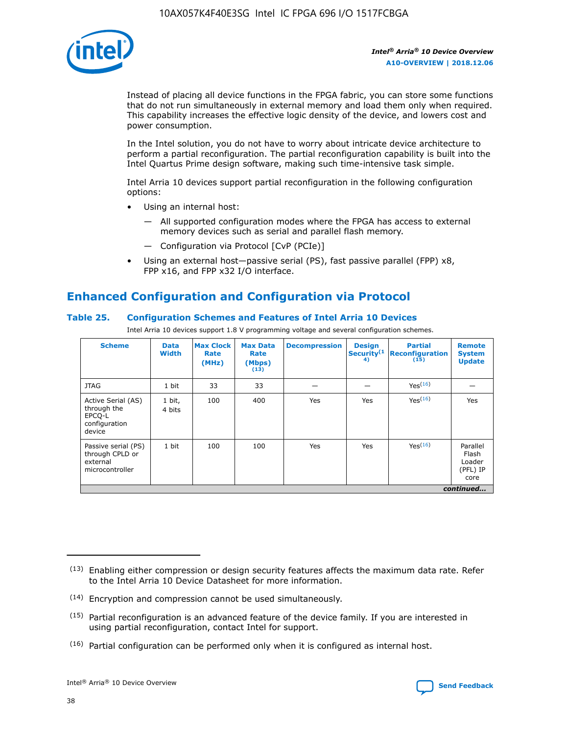

Instead of placing all device functions in the FPGA fabric, you can store some functions that do not run simultaneously in external memory and load them only when required. This capability increases the effective logic density of the device, and lowers cost and power consumption.

In the Intel solution, you do not have to worry about intricate device architecture to perform a partial reconfiguration. The partial reconfiguration capability is built into the Intel Quartus Prime design software, making such time-intensive task simple.

Intel Arria 10 devices support partial reconfiguration in the following configuration options:

- Using an internal host:
	- All supported configuration modes where the FPGA has access to external memory devices such as serial and parallel flash memory.
	- Configuration via Protocol [CvP (PCIe)]
- Using an external host—passive serial (PS), fast passive parallel (FPP) x8, FPP x16, and FPP x32 I/O interface.

# **Enhanced Configuration and Configuration via Protocol**

## **Table 25. Configuration Schemes and Features of Intel Arria 10 Devices**

Intel Arria 10 devices support 1.8 V programming voltage and several configuration schemes.

| <b>Scheme</b>                                                          | <b>Data</b><br><b>Width</b> | <b>Max Clock</b><br>Rate<br>(MHz) | <b>Max Data</b><br>Rate<br>(Mbps)<br>(13) | <b>Decompression</b> | <b>Design</b><br>Security <sup>(1</sup><br>4) | <b>Partial</b><br><b>Reconfiguration</b><br>(15) | <b>Remote</b><br><b>System</b><br><b>Update</b> |
|------------------------------------------------------------------------|-----------------------------|-----------------------------------|-------------------------------------------|----------------------|-----------------------------------------------|--------------------------------------------------|-------------------------------------------------|
| <b>JTAG</b>                                                            | 1 bit                       | 33                                | 33                                        |                      |                                               | Yes(16)                                          |                                                 |
| Active Serial (AS)<br>through the<br>EPCO-L<br>configuration<br>device | 1 bit,<br>4 bits            | 100                               | 400                                       | Yes                  | Yes                                           | $Y_{PS}(16)$                                     | Yes                                             |
| Passive serial (PS)<br>through CPLD or<br>external<br>microcontroller  | 1 bit                       | 100                               | 100                                       | Yes                  | Yes                                           | Yes(16)                                          | Parallel<br>Flash<br>Loader<br>(PFL) IP<br>core |
|                                                                        |                             |                                   |                                           |                      |                                               |                                                  | continued                                       |

<sup>(13)</sup> Enabling either compression or design security features affects the maximum data rate. Refer to the Intel Arria 10 Device Datasheet for more information.

<sup>(14)</sup> Encryption and compression cannot be used simultaneously.

 $(15)$  Partial reconfiguration is an advanced feature of the device family. If you are interested in using partial reconfiguration, contact Intel for support.

 $(16)$  Partial configuration can be performed only when it is configured as internal host.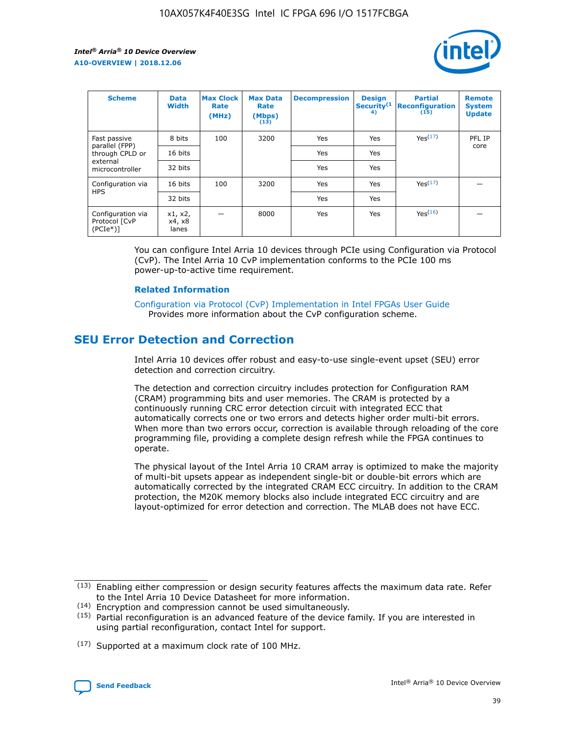

| <b>Scheme</b>                                   | <b>Data</b><br><b>Width</b> | <b>Max Clock</b><br>Rate<br>(MHz) | <b>Max Data</b><br>Rate<br>(Mbps)<br>(13) | <b>Decompression</b> | <b>Design</b><br>Security <sup>(1</sup><br>4) | <b>Partial</b><br><b>Reconfiguration</b><br>(15) | <b>Remote</b><br><b>System</b><br><b>Update</b> |
|-------------------------------------------------|-----------------------------|-----------------------------------|-------------------------------------------|----------------------|-----------------------------------------------|--------------------------------------------------|-------------------------------------------------|
| Fast passive                                    | 8 bits                      | 100                               | 3200                                      | Yes                  | Yes                                           | Yes(17)                                          | PFL IP                                          |
| parallel (FPP)<br>through CPLD or               | 16 bits                     |                                   |                                           | Yes                  | Yes                                           |                                                  | core                                            |
| external<br>microcontroller                     | 32 bits                     |                                   |                                           | Yes                  | Yes                                           |                                                  |                                                 |
| Configuration via                               | 16 bits                     | 100                               | 3200                                      | Yes                  | Yes                                           | Yes <sup>(17)</sup>                              |                                                 |
| <b>HPS</b>                                      | 32 bits                     |                                   |                                           | Yes                  | Yes                                           |                                                  |                                                 |
| Configuration via<br>Protocol [CvP<br>$(PCIe*)$ | x1, x2,<br>x4, x8<br>lanes  |                                   | 8000                                      | Yes                  | Yes                                           | Yes(16)                                          |                                                 |

You can configure Intel Arria 10 devices through PCIe using Configuration via Protocol (CvP). The Intel Arria 10 CvP implementation conforms to the PCIe 100 ms power-up-to-active time requirement.

### **Related Information**

[Configuration via Protocol \(CvP\) Implementation in Intel FPGAs User Guide](https://www.intel.com/content/www/us/en/programmable/documentation/dsu1441819344145.html#dsu1442269728522) Provides more information about the CvP configuration scheme.

# **SEU Error Detection and Correction**

Intel Arria 10 devices offer robust and easy-to-use single-event upset (SEU) error detection and correction circuitry.

The detection and correction circuitry includes protection for Configuration RAM (CRAM) programming bits and user memories. The CRAM is protected by a continuously running CRC error detection circuit with integrated ECC that automatically corrects one or two errors and detects higher order multi-bit errors. When more than two errors occur, correction is available through reloading of the core programming file, providing a complete design refresh while the FPGA continues to operate.

The physical layout of the Intel Arria 10 CRAM array is optimized to make the majority of multi-bit upsets appear as independent single-bit or double-bit errors which are automatically corrected by the integrated CRAM ECC circuitry. In addition to the CRAM protection, the M20K memory blocks also include integrated ECC circuitry and are layout-optimized for error detection and correction. The MLAB does not have ECC.

(14) Encryption and compression cannot be used simultaneously.

<sup>(17)</sup> Supported at a maximum clock rate of 100 MHz.



 $(13)$  Enabling either compression or design security features affects the maximum data rate. Refer to the Intel Arria 10 Device Datasheet for more information.

 $(15)$  Partial reconfiguration is an advanced feature of the device family. If you are interested in using partial reconfiguration, contact Intel for support.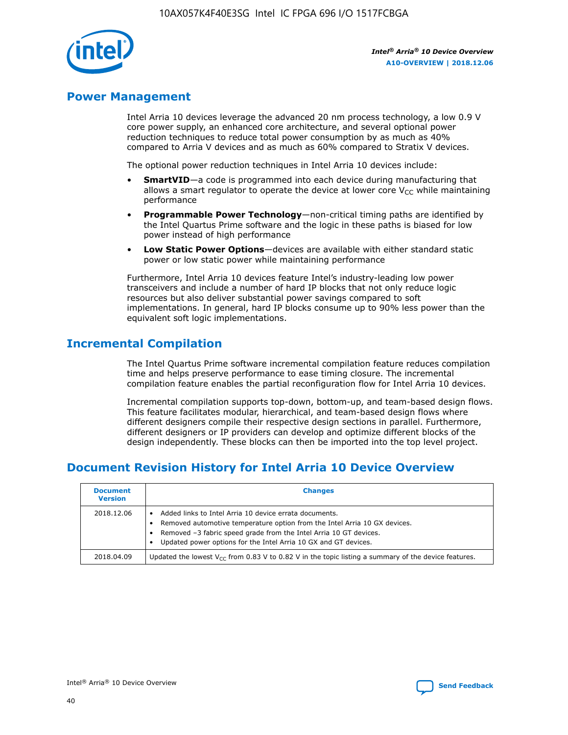

## **Power Management**

Intel Arria 10 devices leverage the advanced 20 nm process technology, a low 0.9 V core power supply, an enhanced core architecture, and several optional power reduction techniques to reduce total power consumption by as much as 40% compared to Arria V devices and as much as 60% compared to Stratix V devices.

The optional power reduction techniques in Intel Arria 10 devices include:

- **SmartVID**—a code is programmed into each device during manufacturing that allows a smart regulator to operate the device at lower core  $V_{CC}$  while maintaining performance
- **Programmable Power Technology**—non-critical timing paths are identified by the Intel Quartus Prime software and the logic in these paths is biased for low power instead of high performance
- **Low Static Power Options**—devices are available with either standard static power or low static power while maintaining performance

Furthermore, Intel Arria 10 devices feature Intel's industry-leading low power transceivers and include a number of hard IP blocks that not only reduce logic resources but also deliver substantial power savings compared to soft implementations. In general, hard IP blocks consume up to 90% less power than the equivalent soft logic implementations.

# **Incremental Compilation**

The Intel Quartus Prime software incremental compilation feature reduces compilation time and helps preserve performance to ease timing closure. The incremental compilation feature enables the partial reconfiguration flow for Intel Arria 10 devices.

Incremental compilation supports top-down, bottom-up, and team-based design flows. This feature facilitates modular, hierarchical, and team-based design flows where different designers compile their respective design sections in parallel. Furthermore, different designers or IP providers can develop and optimize different blocks of the design independently. These blocks can then be imported into the top level project.

# **Document Revision History for Intel Arria 10 Device Overview**

| <b>Document</b><br><b>Version</b> | <b>Changes</b>                                                                                                                                                                                                                                                              |
|-----------------------------------|-----------------------------------------------------------------------------------------------------------------------------------------------------------------------------------------------------------------------------------------------------------------------------|
| 2018.12.06                        | Added links to Intel Arria 10 device errata documents.<br>Removed automotive temperature option from the Intel Arria 10 GX devices.<br>Removed -3 fabric speed grade from the Intel Arria 10 GT devices.<br>Updated power options for the Intel Arria 10 GX and GT devices. |
| 2018.04.09                        | Updated the lowest $V_{CC}$ from 0.83 V to 0.82 V in the topic listing a summary of the device features.                                                                                                                                                                    |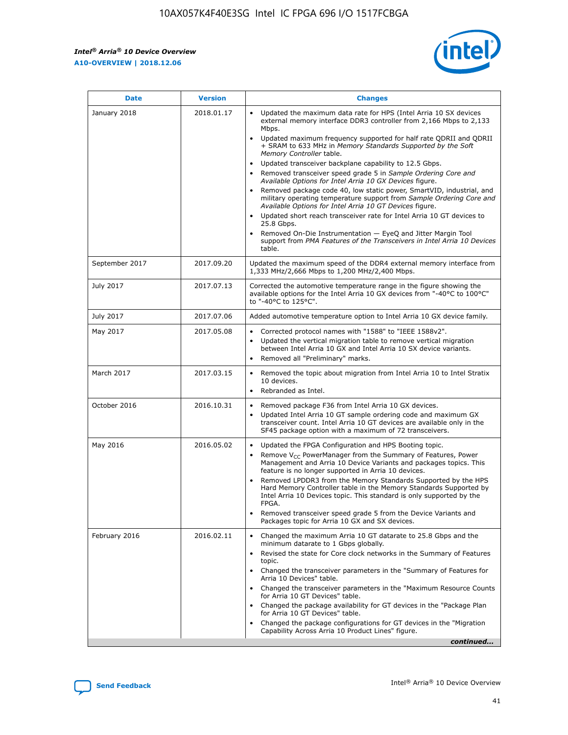$\mathsf{r}$ 



| <b>Date</b>    | <b>Version</b> | <b>Changes</b>                                                                                                                                                                                                                                                                                                                                                                                                                                                                                                                                                                                                                                                                                                                                                                                                                                                                                                                                                                                      |
|----------------|----------------|-----------------------------------------------------------------------------------------------------------------------------------------------------------------------------------------------------------------------------------------------------------------------------------------------------------------------------------------------------------------------------------------------------------------------------------------------------------------------------------------------------------------------------------------------------------------------------------------------------------------------------------------------------------------------------------------------------------------------------------------------------------------------------------------------------------------------------------------------------------------------------------------------------------------------------------------------------------------------------------------------------|
| January 2018   | 2018.01.17     | Updated the maximum data rate for HPS (Intel Arria 10 SX devices<br>external memory interface DDR3 controller from 2,166 Mbps to 2,133<br>Mbps.<br>Updated maximum frequency supported for half rate QDRII and QDRII<br>$\bullet$<br>+ SRAM to 633 MHz in Memory Standards Supported by the Soft<br>Memory Controller table.<br>Updated transceiver backplane capability to 12.5 Gbps.<br>$\bullet$<br>Removed transceiver speed grade 5 in Sample Ordering Core and<br>Available Options for Intel Arria 10 GX Devices figure.<br>Removed package code 40, low static power, SmartVID, industrial, and<br>military operating temperature support from Sample Ordering Core and<br>Available Options for Intel Arria 10 GT Devices figure.<br>Updated short reach transceiver rate for Intel Arria 10 GT devices to<br>$\bullet$<br>25.8 Gbps.<br>Removed On-Die Instrumentation - EyeQ and Jitter Margin Tool<br>support from PMA Features of the Transceivers in Intel Arria 10 Devices<br>table. |
| September 2017 | 2017.09.20     | Updated the maximum speed of the DDR4 external memory interface from<br>1,333 MHz/2,666 Mbps to 1,200 MHz/2,400 Mbps.                                                                                                                                                                                                                                                                                                                                                                                                                                                                                                                                                                                                                                                                                                                                                                                                                                                                               |
| July 2017      | 2017.07.13     | Corrected the automotive temperature range in the figure showing the<br>available options for the Intel Arria 10 GX devices from "-40°C to 100°C"<br>to "-40°C to 125°C".                                                                                                                                                                                                                                                                                                                                                                                                                                                                                                                                                                                                                                                                                                                                                                                                                           |
| July 2017      | 2017.07.06     | Added automotive temperature option to Intel Arria 10 GX device family.                                                                                                                                                                                                                                                                                                                                                                                                                                                                                                                                                                                                                                                                                                                                                                                                                                                                                                                             |
| May 2017       | 2017.05.08     | Corrected protocol names with "1588" to "IEEE 1588v2".<br>$\bullet$<br>Updated the vertical migration table to remove vertical migration<br>$\bullet$<br>between Intel Arria 10 GX and Intel Arria 10 SX device variants.<br>Removed all "Preliminary" marks.                                                                                                                                                                                                                                                                                                                                                                                                                                                                                                                                                                                                                                                                                                                                       |
| March 2017     | 2017.03.15     | Removed the topic about migration from Intel Arria 10 to Intel Stratix<br>10 devices.<br>Rebranded as Intel.<br>$\bullet$                                                                                                                                                                                                                                                                                                                                                                                                                                                                                                                                                                                                                                                                                                                                                                                                                                                                           |
| October 2016   | 2016.10.31     | Removed package F36 from Intel Arria 10 GX devices.<br>$\bullet$<br>Updated Intel Arria 10 GT sample ordering code and maximum GX<br>$\bullet$<br>transceiver count. Intel Arria 10 GT devices are available only in the<br>SF45 package option with a maximum of 72 transceivers.                                                                                                                                                                                                                                                                                                                                                                                                                                                                                                                                                                                                                                                                                                                  |
| May 2016       | 2016.05.02     | Updated the FPGA Configuration and HPS Booting topic.<br>Remove $V_{CC}$ PowerManager from the Summary of Features, Power<br>Management and Arria 10 Device Variants and packages topics. This<br>feature is no longer supported in Arria 10 devices.<br>Removed LPDDR3 from the Memory Standards Supported by the HPS<br>Hard Memory Controller table in the Memory Standards Supported by<br>Intel Arria 10 Devices topic. This standard is only supported by the<br>FPGA.<br>Removed transceiver speed grade 5 from the Device Variants and<br>Packages topic for Arria 10 GX and SX devices.                                                                                                                                                                                                                                                                                                                                                                                                    |
| February 2016  | 2016.02.11     | Changed the maximum Arria 10 GT datarate to 25.8 Gbps and the<br>minimum datarate to 1 Gbps globally.<br>Revised the state for Core clock networks in the Summary of Features<br>$\bullet$<br>topic.<br>• Changed the transceiver parameters in the "Summary of Features for<br>Arria 10 Devices" table.<br>Changed the transceiver parameters in the "Maximum Resource Counts"<br>for Arria 10 GT Devices" table.<br>• Changed the package availability for GT devices in the "Package Plan<br>for Arria 10 GT Devices" table.<br>Changed the package configurations for GT devices in the "Migration"<br>Capability Across Arria 10 Product Lines" figure.<br>continued                                                                                                                                                                                                                                                                                                                           |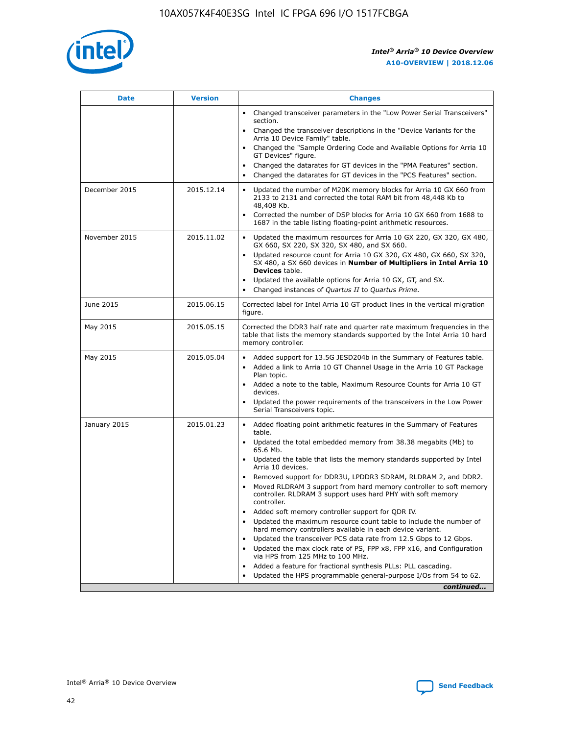

| <b>Date</b>   | <b>Version</b> | <b>Changes</b>                                                                                                                                                               |
|---------------|----------------|------------------------------------------------------------------------------------------------------------------------------------------------------------------------------|
|               |                | • Changed transceiver parameters in the "Low Power Serial Transceivers"<br>section.                                                                                          |
|               |                | • Changed the transceiver descriptions in the "Device Variants for the<br>Arria 10 Device Family" table.                                                                     |
|               |                | Changed the "Sample Ordering Code and Available Options for Arria 10<br>$\bullet$<br>GT Devices" figure.                                                                     |
|               |                | Changed the datarates for GT devices in the "PMA Features" section.                                                                                                          |
|               |                | Changed the datarates for GT devices in the "PCS Features" section.<br>$\bullet$                                                                                             |
| December 2015 | 2015.12.14     | Updated the number of M20K memory blocks for Arria 10 GX 660 from<br>2133 to 2131 and corrected the total RAM bit from 48,448 Kb to<br>48,408 Kb.                            |
|               |                | Corrected the number of DSP blocks for Arria 10 GX 660 from 1688 to<br>1687 in the table listing floating-point arithmetic resources.                                        |
| November 2015 | 2015.11.02     | Updated the maximum resources for Arria 10 GX 220, GX 320, GX 480,<br>$\bullet$<br>GX 660, SX 220, SX 320, SX 480, and SX 660.                                               |
|               |                | • Updated resource count for Arria 10 GX 320, GX 480, GX 660, SX 320,<br>SX 480, a SX 660 devices in Number of Multipliers in Intel Arria 10<br><b>Devices</b> table.        |
|               |                | Updated the available options for Arria 10 GX, GT, and SX.                                                                                                                   |
|               |                | Changed instances of Quartus II to Quartus Prime.<br>$\bullet$                                                                                                               |
| June 2015     | 2015.06.15     | Corrected label for Intel Arria 10 GT product lines in the vertical migration<br>figure.                                                                                     |
| May 2015      | 2015.05.15     | Corrected the DDR3 half rate and quarter rate maximum frequencies in the<br>table that lists the memory standards supported by the Intel Arria 10 hard<br>memory controller. |
| May 2015      | 2015.05.04     | • Added support for 13.5G JESD204b in the Summary of Features table.                                                                                                         |
|               |                | • Added a link to Arria 10 GT Channel Usage in the Arria 10 GT Package<br>Plan topic.                                                                                        |
|               |                | • Added a note to the table, Maximum Resource Counts for Arria 10 GT<br>devices.                                                                                             |
|               |                | • Updated the power requirements of the transceivers in the Low Power<br>Serial Transceivers topic.                                                                          |
| January 2015  | 2015.01.23     | • Added floating point arithmetic features in the Summary of Features<br>table.                                                                                              |
|               |                | • Updated the total embedded memory from 38.38 megabits (Mb) to<br>65.6 Mb.                                                                                                  |
|               |                | • Updated the table that lists the memory standards supported by Intel<br>Arria 10 devices.                                                                                  |
|               |                | Removed support for DDR3U, LPDDR3 SDRAM, RLDRAM 2, and DDR2.                                                                                                                 |
|               |                | Moved RLDRAM 3 support from hard memory controller to soft memory<br>controller. RLDRAM 3 support uses hard PHY with soft memory<br>controller.                              |
|               |                | Added soft memory controller support for QDR IV.<br>٠                                                                                                                        |
|               |                | Updated the maximum resource count table to include the number of<br>hard memory controllers available in each device variant.                                               |
|               |                | Updated the transceiver PCS data rate from 12.5 Gbps to 12 Gbps.<br>$\bullet$                                                                                                |
|               |                | Updated the max clock rate of PS, FPP x8, FPP x16, and Configuration<br>via HPS from 125 MHz to 100 MHz.                                                                     |
|               |                | Added a feature for fractional synthesis PLLs: PLL cascading.                                                                                                                |
|               |                | Updated the HPS programmable general-purpose I/Os from 54 to 62.<br>$\bullet$                                                                                                |
|               |                | continued                                                                                                                                                                    |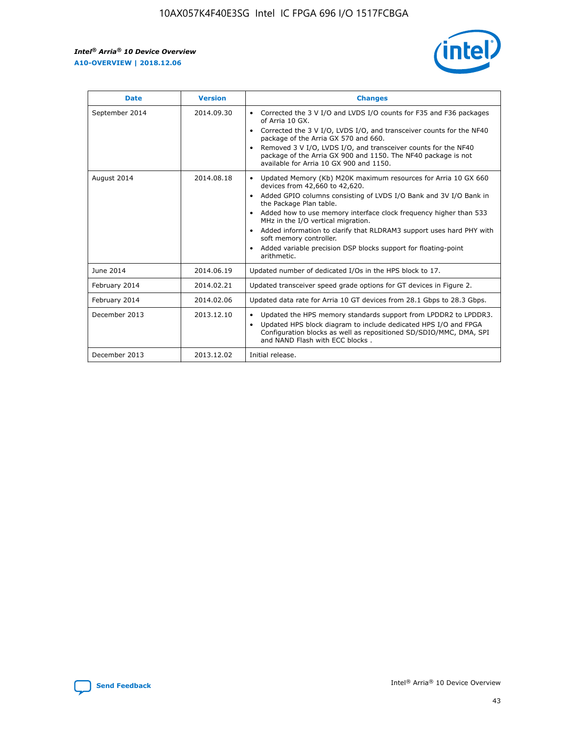r



| <b>Date</b>    | <b>Version</b> | <b>Changes</b>                                                                                                                                                                                                                                                                                                                                                                                                                                                                                                                                      |
|----------------|----------------|-----------------------------------------------------------------------------------------------------------------------------------------------------------------------------------------------------------------------------------------------------------------------------------------------------------------------------------------------------------------------------------------------------------------------------------------------------------------------------------------------------------------------------------------------------|
| September 2014 | 2014.09.30     | Corrected the 3 V I/O and LVDS I/O counts for F35 and F36 packages<br>of Arria 10 GX.<br>Corrected the 3 V I/O, LVDS I/O, and transceiver counts for the NF40<br>$\bullet$<br>package of the Arria GX 570 and 660.<br>Removed 3 V I/O, LVDS I/O, and transceiver counts for the NF40<br>package of the Arria GX 900 and 1150. The NF40 package is not<br>available for Arria 10 GX 900 and 1150.                                                                                                                                                    |
| August 2014    | 2014.08.18     | Updated Memory (Kb) M20K maximum resources for Arria 10 GX 660<br>devices from 42,660 to 42,620.<br>Added GPIO columns consisting of LVDS I/O Bank and 3V I/O Bank in<br>$\bullet$<br>the Package Plan table.<br>Added how to use memory interface clock frequency higher than 533<br>$\bullet$<br>MHz in the I/O vertical migration.<br>Added information to clarify that RLDRAM3 support uses hard PHY with<br>$\bullet$<br>soft memory controller.<br>Added variable precision DSP blocks support for floating-point<br>$\bullet$<br>arithmetic. |
| June 2014      | 2014.06.19     | Updated number of dedicated I/Os in the HPS block to 17.                                                                                                                                                                                                                                                                                                                                                                                                                                                                                            |
| February 2014  | 2014.02.21     | Updated transceiver speed grade options for GT devices in Figure 2.                                                                                                                                                                                                                                                                                                                                                                                                                                                                                 |
| February 2014  | 2014.02.06     | Updated data rate for Arria 10 GT devices from 28.1 Gbps to 28.3 Gbps.                                                                                                                                                                                                                                                                                                                                                                                                                                                                              |
| December 2013  | 2013.12.10     | Updated the HPS memory standards support from LPDDR2 to LPDDR3.<br>Updated HPS block diagram to include dedicated HPS I/O and FPGA<br>$\bullet$<br>Configuration blocks as well as repositioned SD/SDIO/MMC, DMA, SPI<br>and NAND Flash with ECC blocks.                                                                                                                                                                                                                                                                                            |
| December 2013  | 2013.12.02     | Initial release.                                                                                                                                                                                                                                                                                                                                                                                                                                                                                                                                    |